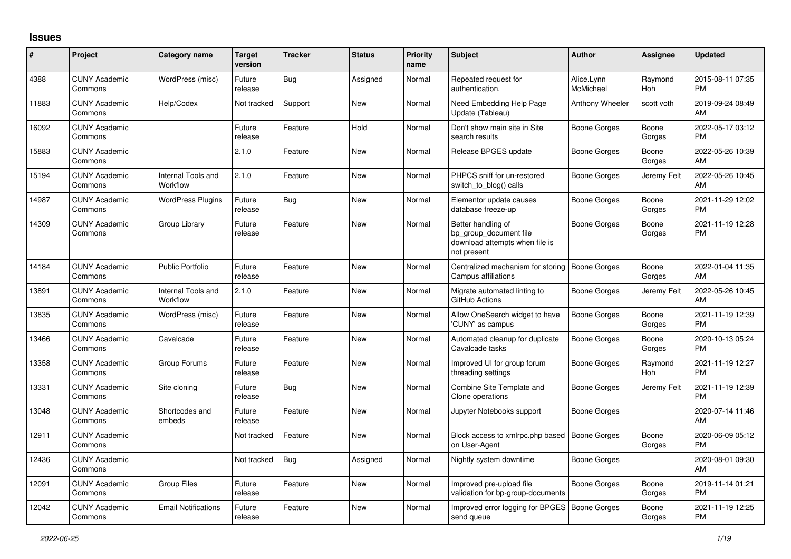## **Issues**

| #     | Project                         | <b>Category name</b>           | <b>Target</b><br>version | <b>Tracker</b> | <b>Status</b> | <b>Priority</b><br>name | Subject                                                                                       | <b>Author</b>           | <b>Assignee</b> | <b>Updated</b>                |
|-------|---------------------------------|--------------------------------|--------------------------|----------------|---------------|-------------------------|-----------------------------------------------------------------------------------------------|-------------------------|-----------------|-------------------------------|
| 4388  | <b>CUNY Academic</b><br>Commons | WordPress (misc)               | Future<br>release        | Bug            | Assigned      | Normal                  | Repeated request for<br>authentication.                                                       | Alice.Lynn<br>McMichael | Raymond<br>Hoh  | 2015-08-11 07:35<br><b>PM</b> |
| 11883 | <b>CUNY Academic</b><br>Commons | Help/Codex                     | Not tracked              | Support        | <b>New</b>    | Normal                  | Need Embedding Help Page<br>Update (Tableau)                                                  | Anthony Wheeler         | scott voth      | 2019-09-24 08:49<br>AM        |
| 16092 | <b>CUNY Academic</b><br>Commons |                                | Future<br>release        | Feature        | Hold          | Normal                  | Don't show main site in Site<br>search results                                                | <b>Boone Gorges</b>     | Boone<br>Gorges | 2022-05-17 03:12<br><b>PM</b> |
| 15883 | <b>CUNY Academic</b><br>Commons |                                | 2.1.0                    | Feature        | <b>New</b>    | Normal                  | Release BPGES update                                                                          | Boone Gorges            | Boone<br>Gorges | 2022-05-26 10:39<br>AM        |
| 15194 | <b>CUNY Academic</b><br>Commons | Internal Tools and<br>Workflow | 2.1.0                    | Feature        | <b>New</b>    | Normal                  | PHPCS sniff for un-restored<br>switch to blog() calls                                         | <b>Boone Gorges</b>     | Jeremy Felt     | 2022-05-26 10:45<br>AM        |
| 14987 | <b>CUNY Academic</b><br>Commons | <b>WordPress Plugins</b>       | Future<br>release        | Bug            | <b>New</b>    | Normal                  | Elementor update causes<br>database freeze-up                                                 | Boone Gorges            | Boone<br>Gorges | 2021-11-29 12:02<br><b>PM</b> |
| 14309 | <b>CUNY Academic</b><br>Commons | Group Library                  | Future<br>release        | Feature        | <b>New</b>    | Normal                  | Better handling of<br>bp_group_document file<br>download attempts when file is<br>not present | <b>Boone Gorges</b>     | Boone<br>Gorges | 2021-11-19 12:28<br><b>PM</b> |
| 14184 | <b>CUNY Academic</b><br>Commons | <b>Public Portfolio</b>        | Future<br>release        | Feature        | <b>New</b>    | Normal                  | Centralized mechanism for storing<br>Campus affiliations                                      | Boone Gorges            | Boone<br>Gorges | 2022-01-04 11:35<br>AM        |
| 13891 | <b>CUNY Academic</b><br>Commons | Internal Tools and<br>Workflow | 2.1.0                    | Feature        | <b>New</b>    | Normal                  | Migrate automated linting to<br>GitHub Actions                                                | Boone Gorges            | Jeremy Felt     | 2022-05-26 10:45<br>AM        |
| 13835 | <b>CUNY Academic</b><br>Commons | WordPress (misc)               | Future<br>release        | Feature        | <b>New</b>    | Normal                  | Allow OneSearch widget to have<br>'CUNY' as campus                                            | <b>Boone Gorges</b>     | Boone<br>Gorges | 2021-11-19 12:39<br><b>PM</b> |
| 13466 | <b>CUNY Academic</b><br>Commons | Cavalcade                      | Future<br>release        | Feature        | <b>New</b>    | Normal                  | Automated cleanup for duplicate<br>Cavalcade tasks                                            | <b>Boone Gorges</b>     | Boone<br>Gorges | 2020-10-13 05:24<br><b>PM</b> |
| 13358 | <b>CUNY Academic</b><br>Commons | Group Forums                   | Future<br>release        | Feature        | <b>New</b>    | Normal                  | Improved UI for group forum<br>threading settings                                             | <b>Boone Gorges</b>     | Raymond<br>Hoh  | 2021-11-19 12:27<br><b>PM</b> |
| 13331 | <b>CUNY Academic</b><br>Commons | Site cloning                   | Future<br>release        | Bug            | <b>New</b>    | Normal                  | Combine Site Template and<br>Clone operations                                                 | <b>Boone Gorges</b>     | Jeremy Felt     | 2021-11-19 12:39<br><b>PM</b> |
| 13048 | <b>CUNY Academic</b><br>Commons | Shortcodes and<br>embeds       | Future<br>release        | Feature        | <b>New</b>    | Normal                  | Jupyter Notebooks support                                                                     | <b>Boone Gorges</b>     |                 | 2020-07-14 11:46<br>AM        |
| 12911 | <b>CUNY Academic</b><br>Commons |                                | Not tracked              | Feature        | <b>New</b>    | Normal                  | Block access to xmlrpc.php based<br>on User-Agent                                             | <b>Boone Gorges</b>     | Boone<br>Gorges | 2020-06-09 05:12<br><b>PM</b> |
| 12436 | <b>CUNY Academic</b><br>Commons |                                | Not tracked              | Bug            | Assigned      | Normal                  | Nightly system downtime                                                                       | <b>Boone Gorges</b>     |                 | 2020-08-01 09:30<br>AM        |
| 12091 | <b>CUNY Academic</b><br>Commons | <b>Group Files</b>             | Future<br>release        | Feature        | <b>New</b>    | Normal                  | Improved pre-upload file<br>validation for bp-group-documents                                 | <b>Boone Gorges</b>     | Boone<br>Gorges | 2019-11-14 01:21<br><b>PM</b> |
| 12042 | <b>CUNY Academic</b><br>Commons | <b>Email Notifications</b>     | Future<br>release        | Feature        | <b>New</b>    | Normal                  | Improved error logging for BPGES   Boone Gorges<br>send queue                                 |                         | Boone<br>Gorges | 2021-11-19 12:25<br><b>PM</b> |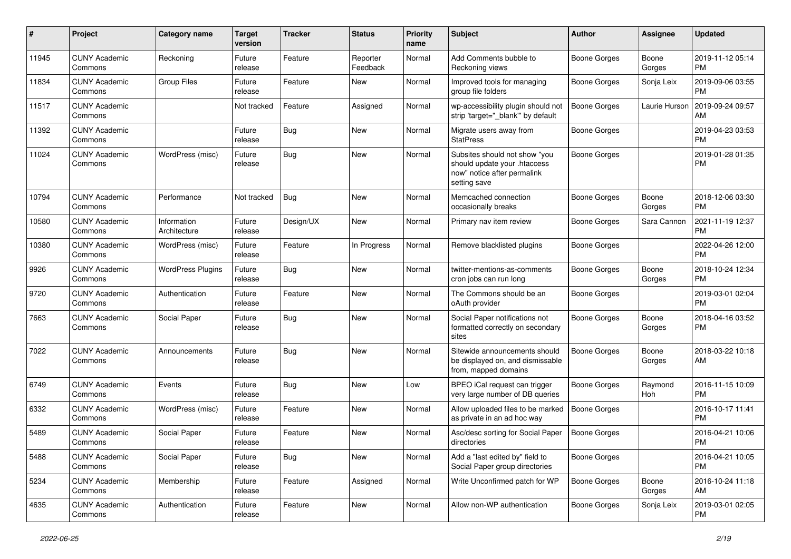| #     | Project                         | <b>Category name</b>        | Target<br>version | <b>Tracker</b> | <b>Status</b>        | <b>Priority</b><br>name | <b>Subject</b>                                                                                               | Author              | Assignee        | <b>Updated</b>                |
|-------|---------------------------------|-----------------------------|-------------------|----------------|----------------------|-------------------------|--------------------------------------------------------------------------------------------------------------|---------------------|-----------------|-------------------------------|
| 11945 | <b>CUNY Academic</b><br>Commons | Reckoning                   | Future<br>release | Feature        | Reporter<br>Feedback | Normal                  | Add Comments bubble to<br>Reckoning views                                                                    | <b>Boone Gorges</b> | Boone<br>Gorges | 2019-11-12 05:14<br><b>PM</b> |
| 11834 | <b>CUNY Academic</b><br>Commons | Group Files                 | Future<br>release | Feature        | New                  | Normal                  | Improved tools for managing<br>group file folders                                                            | <b>Boone Gorges</b> | Sonja Leix      | 2019-09-06 03:55<br><b>PM</b> |
| 11517 | <b>CUNY Academic</b><br>Commons |                             | Not tracked       | Feature        | Assigned             | Normal                  | wp-accessibility plugin should not<br>strip 'target="_blank" by default                                      | Boone Gorges        | Laurie Hurson   | 2019-09-24 09:57<br>AM        |
| 11392 | <b>CUNY Academic</b><br>Commons |                             | Future<br>release | Bug            | <b>New</b>           | Normal                  | Migrate users away from<br><b>StatPress</b>                                                                  | <b>Boone Gorges</b> |                 | 2019-04-23 03:53<br><b>PM</b> |
| 11024 | <b>CUNY Academic</b><br>Commons | WordPress (misc)            | Future<br>release | <b>Bug</b>     | New                  | Normal                  | Subsites should not show "you<br>should update your .htaccess<br>now" notice after permalink<br>setting save | <b>Boone Gorges</b> |                 | 2019-01-28 01:35<br><b>PM</b> |
| 10794 | <b>CUNY Academic</b><br>Commons | Performance                 | Not tracked       | Bug            | New                  | Normal                  | Memcached connection<br>occasionally breaks                                                                  | <b>Boone Gorges</b> | Boone<br>Gorges | 2018-12-06 03:30<br><b>PM</b> |
| 10580 | <b>CUNY Academic</b><br>Commons | Information<br>Architecture | Future<br>release | Design/UX      | New                  | Normal                  | Primary nav item review                                                                                      | Boone Gorges        | Sara Cannon     | 2021-11-19 12:37<br><b>PM</b> |
| 10380 | <b>CUNY Academic</b><br>Commons | WordPress (misc)            | Future<br>release | Feature        | In Progress          | Normal                  | Remove blacklisted plugins                                                                                   | <b>Boone Gorges</b> |                 | 2022-04-26 12:00<br><b>PM</b> |
| 9926  | <b>CUNY Academic</b><br>Commons | <b>WordPress Plugins</b>    | Future<br>release | <b>Bug</b>     | <b>New</b>           | Normal                  | twitter-mentions-as-comments<br>cron jobs can run long                                                       | <b>Boone Gorges</b> | Boone<br>Gorges | 2018-10-24 12:34<br><b>PM</b> |
| 9720  | <b>CUNY Academic</b><br>Commons | Authentication              | Future<br>release | Feature        | <b>New</b>           | Normal                  | The Commons should be an<br>oAuth provider                                                                   | <b>Boone Gorges</b> |                 | 2019-03-01 02:04<br><b>PM</b> |
| 7663  | <b>CUNY Academic</b><br>Commons | Social Paper                | Future<br>release | <b>Bug</b>     | New                  | Normal                  | Social Paper notifications not<br>formatted correctly on secondary<br>sites                                  | <b>Boone Gorges</b> | Boone<br>Gorges | 2018-04-16 03:52<br><b>PM</b> |
| 7022  | <b>CUNY Academic</b><br>Commons | Announcements               | Future<br>release | <b>Bug</b>     | New                  | Normal                  | Sitewide announcements should<br>be displayed on, and dismissable<br>from, mapped domains                    | <b>Boone Gorges</b> | Boone<br>Gorges | 2018-03-22 10:18<br>AM        |
| 6749  | <b>CUNY Academic</b><br>Commons | Events                      | Future<br>release | <b>Bug</b>     | New                  | Low                     | BPEO iCal request can trigger<br>very large number of DB queries                                             | <b>Boone Gorges</b> | Raymond<br>Hoh  | 2016-11-15 10:09<br><b>PM</b> |
| 6332  | <b>CUNY Academic</b><br>Commons | WordPress (misc)            | Future<br>release | Feature        | <b>New</b>           | Normal                  | Allow uploaded files to be marked<br>as private in an ad hoc way                                             | <b>Boone Gorges</b> |                 | 2016-10-17 11:41<br><b>PM</b> |
| 5489  | <b>CUNY Academic</b><br>Commons | Social Paper                | Future<br>release | Feature        | <b>New</b>           | Normal                  | Asc/desc sorting for Social Paper<br>directories                                                             | <b>Boone Gorges</b> |                 | 2016-04-21 10:06<br><b>PM</b> |
| 5488  | <b>CUNY Academic</b><br>Commons | Social Paper                | Future<br>release | <b>Bug</b>     | New                  | Normal                  | Add a "last edited by" field to<br>Social Paper group directories                                            | <b>Boone Gorges</b> |                 | 2016-04-21 10:05<br><b>PM</b> |
| 5234  | <b>CUNY Academic</b><br>Commons | Membership                  | Future<br>release | Feature        | Assigned             | Normal                  | Write Unconfirmed patch for WP                                                                               | <b>Boone Gorges</b> | Boone<br>Gorges | 2016-10-24 11:18<br>AM        |
| 4635  | <b>CUNY Academic</b><br>Commons | Authentication              | Future<br>release | Feature        | New                  | Normal                  | Allow non-WP authentication                                                                                  | <b>Boone Gorges</b> | Sonja Leix      | 2019-03-01 02:05<br>PM        |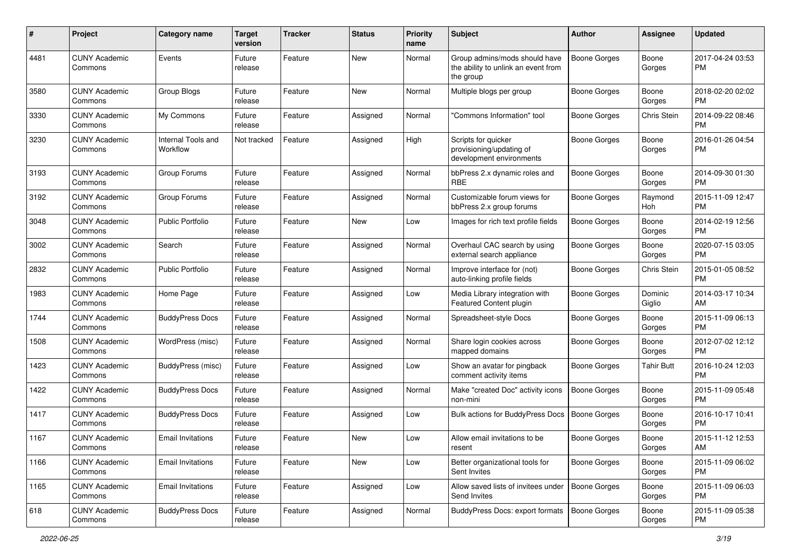| #    | Project                         | <b>Category name</b>           | <b>Target</b><br>version | <b>Tracker</b> | <b>Status</b> | <b>Priority</b><br>name | Subject                                                                           | Author              | Assignee          | <b>Updated</b>                |
|------|---------------------------------|--------------------------------|--------------------------|----------------|---------------|-------------------------|-----------------------------------------------------------------------------------|---------------------|-------------------|-------------------------------|
| 4481 | <b>CUNY Academic</b><br>Commons | Events                         | Future<br>release        | Feature        | <b>New</b>    | Normal                  | Group admins/mods should have<br>the ability to unlink an event from<br>the group | <b>Boone Gorges</b> | Boone<br>Gorges   | 2017-04-24 03:53<br><b>PM</b> |
| 3580 | <b>CUNY Academic</b><br>Commons | Group Blogs                    | Future<br>release        | Feature        | New           | Normal                  | Multiple blogs per group                                                          | <b>Boone Gorges</b> | Boone<br>Gorges   | 2018-02-20 02:02<br>РM        |
| 3330 | <b>CUNY Academic</b><br>Commons | My Commons                     | Future<br>release        | Feature        | Assigned      | Normal                  | 'Commons Information" tool                                                        | <b>Boone Gorges</b> | Chris Stein       | 2014-09-22 08:46<br><b>PM</b> |
| 3230 | <b>CUNY Academic</b><br>Commons | Internal Tools and<br>Workflow | Not tracked              | Feature        | Assigned      | High                    | Scripts for quicker<br>provisioning/updating of<br>development environments       | Boone Gorges        | Boone<br>Gorges   | 2016-01-26 04:54<br><b>PM</b> |
| 3193 | <b>CUNY Academic</b><br>Commons | Group Forums                   | Future<br>release        | Feature        | Assigned      | Normal                  | bbPress 2.x dynamic roles and<br><b>RBE</b>                                       | <b>Boone Gorges</b> | Boone<br>Gorges   | 2014-09-30 01:30<br><b>PM</b> |
| 3192 | <b>CUNY Academic</b><br>Commons | Group Forums                   | Future<br>release        | Feature        | Assigned      | Normal                  | Customizable forum views for<br>bbPress 2.x group forums                          | Boone Gorges        | Raymond<br>Hoh    | 2015-11-09 12:47<br><b>PM</b> |
| 3048 | <b>CUNY Academic</b><br>Commons | <b>Public Portfolio</b>        | Future<br>release        | Feature        | <b>New</b>    | Low                     | Images for rich text profile fields                                               | <b>Boone Gorges</b> | Boone<br>Gorges   | 2014-02-19 12:56<br><b>PM</b> |
| 3002 | <b>CUNY Academic</b><br>Commons | Search                         | Future<br>release        | Feature        | Assigned      | Normal                  | Overhaul CAC search by using<br>external search appliance                         | <b>Boone Gorges</b> | Boone<br>Gorges   | 2020-07-15 03:05<br>PM        |
| 2832 | <b>CUNY Academic</b><br>Commons | <b>Public Portfolio</b>        | Future<br>release        | Feature        | Assigned      | Normal                  | Improve interface for (not)<br>auto-linking profile fields                        | <b>Boone Gorges</b> | Chris Stein       | 2015-01-05 08:52<br><b>PM</b> |
| 1983 | <b>CUNY Academic</b><br>Commons | Home Page                      | Future<br>release        | Feature        | Assigned      | Low                     | Media Library integration with<br>Featured Content plugin                         | <b>Boone Gorges</b> | Dominic<br>Giglio | 2014-03-17 10:34<br>AM        |
| 1744 | <b>CUNY Academic</b><br>Commons | <b>BuddyPress Docs</b>         | Future<br>release        | Feature        | Assigned      | Normal                  | Spreadsheet-style Docs                                                            | <b>Boone Gorges</b> | Boone<br>Gorges   | 2015-11-09 06:13<br><b>PM</b> |
| 1508 | <b>CUNY Academic</b><br>Commons | WordPress (misc)               | Future<br>release        | Feature        | Assigned      | Normal                  | Share login cookies across<br>mapped domains                                      | Boone Gorges        | Boone<br>Gorges   | 2012-07-02 12:12<br><b>PM</b> |
| 1423 | <b>CUNY Academic</b><br>Commons | BuddyPress (misc)              | Future<br>release        | Feature        | Assigned      | Low                     | Show an avatar for pingback<br>comment activity items                             | Boone Gorges        | Tahir Butt        | 2016-10-24 12:03<br><b>PM</b> |
| 1422 | <b>CUNY Academic</b><br>Commons | <b>BuddyPress Docs</b>         | Future<br>release        | Feature        | Assigned      | Normal                  | Make "created Doc" activity icons<br>non-mini                                     | <b>Boone Gorges</b> | Boone<br>Gorges   | 2015-11-09 05:48<br><b>PM</b> |
| 1417 | <b>CUNY Academic</b><br>Commons | <b>BuddyPress Docs</b>         | Future<br>release        | Feature        | Assigned      | Low                     | Bulk actions for BuddyPress Docs                                                  | <b>Boone Gorges</b> | Boone<br>Gorges   | 2016-10-17 10:41<br><b>PM</b> |
| 1167 | <b>CUNY Academic</b><br>Commons | <b>Email Invitations</b>       | Future<br>release        | Feature        | <b>New</b>    | Low                     | Allow email invitations to be<br>resent                                           | <b>Boone Gorges</b> | Boone<br>Gorges   | 2015-11-12 12:53<br>AM        |
| 1166 | <b>CUNY Academic</b><br>Commons | <b>Email Invitations</b>       | Future<br>release        | Feature        | New           | Low                     | Better organizational tools for<br>Sent Invites                                   | Boone Gorges        | Boone<br>Gorges   | 2015-11-09 06:02<br><b>PM</b> |
| 1165 | <b>CUNY Academic</b><br>Commons | <b>Email Invitations</b>       | Future<br>release        | Feature        | Assigned      | Low                     | Allow saved lists of invitees under<br>Send Invites                               | Boone Gorges        | Boone<br>Gorges   | 2015-11-09 06:03<br><b>PM</b> |
| 618  | <b>CUNY Academic</b><br>Commons | <b>BuddyPress Docs</b>         | Future<br>release        | Feature        | Assigned      | Normal                  | <b>BuddyPress Docs: export formats</b>                                            | <b>Boone Gorges</b> | Boone<br>Gorges   | 2015-11-09 05:38<br>PM        |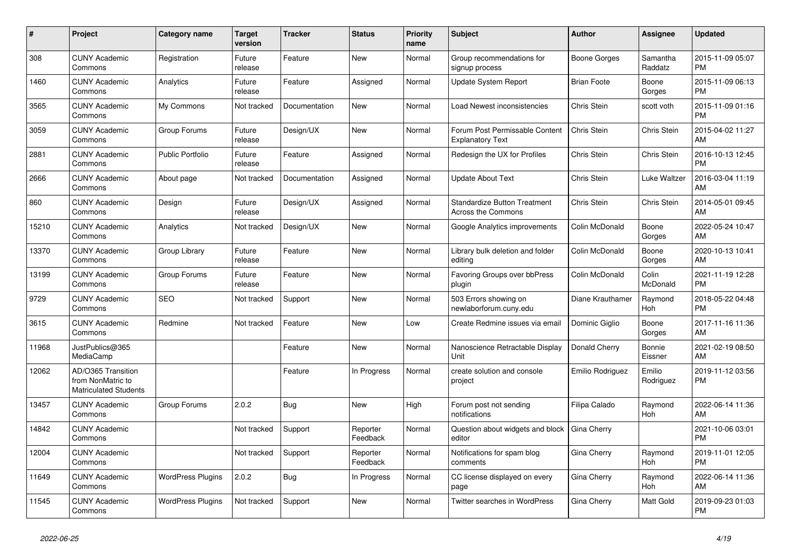| #     | Project                                                                 | <b>Category name</b>     | <b>Target</b><br>version | <b>Tracker</b> | <b>Status</b>        | <b>Priority</b><br>name | <b>Subject</b>                                            | <b>Author</b>      | Assignee            | <b>Updated</b>                |
|-------|-------------------------------------------------------------------------|--------------------------|--------------------------|----------------|----------------------|-------------------------|-----------------------------------------------------------|--------------------|---------------------|-------------------------------|
| 308   | <b>CUNY Academic</b><br>Commons                                         | Registration             | Future<br>release        | Feature        | <b>New</b>           | Normal                  | Group recommendations for<br>signup process               | Boone Gorges       | Samantha<br>Raddatz | 2015-11-09 05:07<br><b>PM</b> |
| 1460  | <b>CUNY Academic</b><br>Commons                                         | Analytics                | Future<br>release        | Feature        | Assigned             | Normal                  | <b>Update System Report</b>                               | <b>Brian Foote</b> | Boone<br>Gorges     | 2015-11-09 06:13<br><b>PM</b> |
| 3565  | <b>CUNY Academic</b><br>Commons                                         | My Commons               | Not tracked              | Documentation  | <b>New</b>           | Normal                  | Load Newest inconsistencies                               | <b>Chris Stein</b> | scott voth          | 2015-11-09 01:16<br><b>PM</b> |
| 3059  | <b>CUNY Academic</b><br>Commons                                         | Group Forums             | Future<br>release        | Design/UX      | <b>New</b>           | Normal                  | Forum Post Permissable Content<br><b>Explanatory Text</b> | Chris Stein        | Chris Stein         | 2015-04-02 11:27<br>AM        |
| 2881  | <b>CUNY Academic</b><br>Commons                                         | <b>Public Portfolio</b>  | Future<br>release        | Feature        | Assigned             | Normal                  | Redesign the UX for Profiles                              | <b>Chris Stein</b> | Chris Stein         | 2016-10-13 12:45<br><b>PM</b> |
| 2666  | <b>CUNY Academic</b><br>Commons                                         | About page               | Not tracked              | Documentation  | Assigned             | Normal                  | <b>Update About Text</b>                                  | Chris Stein        | Luke Waltzer        | 2016-03-04 11:19<br>AM        |
| 860   | <b>CUNY Academic</b><br>Commons                                         | Design                   | Future<br>release        | Design/UX      | Assigned             | Normal                  | <b>Standardize Button Treatment</b><br>Across the Commons | Chris Stein        | Chris Stein         | 2014-05-01 09:45<br>AM        |
| 15210 | <b>CUNY Academic</b><br>Commons                                         | Analytics                | Not tracked              | Design/UX      | <b>New</b>           | Normal                  | Google Analytics improvements                             | Colin McDonald     | Boone<br>Gorges     | 2022-05-24 10:47<br>AM        |
| 13370 | <b>CUNY Academic</b><br>Commons                                         | Group Library            | Future<br>release        | Feature        | <b>New</b>           | Normal                  | Library bulk deletion and folder<br>editing               | Colin McDonald     | Boone<br>Gorges     | 2020-10-13 10:41<br>AM        |
| 13199 | <b>CUNY Academic</b><br>Commons                                         | Group Forums             | Future<br>release        | Feature        | <b>New</b>           | Normal                  | Favoring Groups over bbPress<br>plugin                    | Colin McDonald     | Colin<br>McDonald   | 2021-11-19 12:28<br><b>PM</b> |
| 9729  | <b>CUNY Academic</b><br>Commons                                         | <b>SEO</b>               | Not tracked              | Support        | <b>New</b>           | Normal                  | 503 Errors showing on<br>newlaborforum.cuny.edu           | Diane Krauthamer   | Raymond<br>Hoh      | 2018-05-22 04:48<br><b>PM</b> |
| 3615  | <b>CUNY Academic</b><br>Commons                                         | Redmine                  | Not tracked              | Feature        | New                  | Low                     | Create Redmine issues via email                           | Dominic Giglio     | Boone<br>Gorges     | 2017-11-16 11:36<br>AM        |
| 11968 | JustPublics@365<br>MediaCamp                                            |                          |                          | Feature        | <b>New</b>           | Normal                  | Nanoscience Retractable Display<br>Unit                   | Donald Cherry      | Bonnie<br>Eissner   | 2021-02-19 08:50<br>AM        |
| 12062 | AD/O365 Transition<br>from NonMatric to<br><b>Matriculated Students</b> |                          |                          | Feature        | In Progress          | Normal                  | create solution and console<br>project                    | Emilio Rodriguez   | Emilio<br>Rodriguez | 2019-11-12 03:56<br><b>PM</b> |
| 13457 | <b>CUNY Academic</b><br>Commons                                         | Group Forums             | 2.0.2                    | Bug            | <b>New</b>           | High                    | Forum post not sending<br>notifications                   | Filipa Calado      | Raymond<br>Hoh      | 2022-06-14 11:36<br>AM        |
| 14842 | <b>CUNY Academic</b><br>Commons                                         |                          | Not tracked              | Support        | Reporter<br>Feedback | Normal                  | Question about widgets and block<br>editor                | Gina Cherry        |                     | 2021-10-06 03:01<br><b>PM</b> |
| 12004 | <b>CUNY Academic</b><br>Commons                                         |                          | Not tracked              | Support        | Reporter<br>Feedback | Normal                  | Notifications for spam blog<br>comments                   | Gina Cherry        | Raymond<br>Hoh      | 2019-11-01 12:05<br><b>PM</b> |
| 11649 | <b>CUNY Academic</b><br>Commons                                         | <b>WordPress Plugins</b> | 2.0.2                    | <b>Bug</b>     | In Progress          | Normal                  | CC license displayed on every<br>page                     | Gina Cherry        | Raymond<br>Hoh      | 2022-06-14 11:36<br>AM        |
| 11545 | <b>CUNY Academic</b><br>Commons                                         | <b>WordPress Plugins</b> | Not tracked              | Support        | <b>New</b>           | Normal                  | <b>Twitter searches in WordPress</b>                      | Gina Cherry        | Matt Gold           | 2019-09-23 01:03<br><b>PM</b> |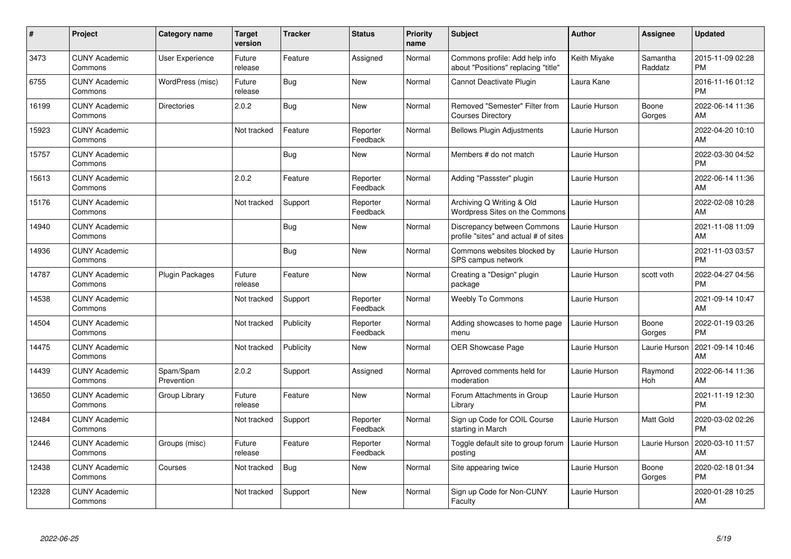| #     | <b>Project</b>                  | <b>Category name</b>    | <b>Target</b><br>version | <b>Tracker</b> | <b>Status</b>        | <b>Priority</b><br>name | Subject                                                               | <b>Author</b> | Assignee            | <b>Updated</b>                |
|-------|---------------------------------|-------------------------|--------------------------|----------------|----------------------|-------------------------|-----------------------------------------------------------------------|---------------|---------------------|-------------------------------|
| 3473  | <b>CUNY Academic</b><br>Commons | User Experience         | Future<br>release        | Feature        | Assigned             | Normal                  | Commons profile: Add help info<br>about "Positions" replacing "title' | Keith Miyake  | Samantha<br>Raddatz | 2015-11-09 02:28<br><b>PM</b> |
| 6755  | <b>CUNY Academic</b><br>Commons | WordPress (misc)        | Future<br>release        | Bug            | New                  | Normal                  | Cannot Deactivate Plugin                                              | Laura Kane    |                     | 2016-11-16 01:12<br><b>PM</b> |
| 16199 | <b>CUNY Academic</b><br>Commons | Directories             | 2.0.2                    | <b>Bug</b>     | <b>New</b>           | Normal                  | Removed "Semester" Filter from<br><b>Courses Directory</b>            | Laurie Hurson | Boone<br>Gorges     | 2022-06-14 11:36<br>AM        |
| 15923 | <b>CUNY Academic</b><br>Commons |                         | Not tracked              | Feature        | Reporter<br>Feedback | Normal                  | <b>Bellows Plugin Adjustments</b>                                     | Laurie Hurson |                     | 2022-04-20 10:10<br>AM        |
| 15757 | <b>CUNY Academic</b><br>Commons |                         |                          | <b>Bug</b>     | <b>New</b>           | Normal                  | Members # do not match                                                | Laurie Hurson |                     | 2022-03-30 04:52<br><b>PM</b> |
| 15613 | <b>CUNY Academic</b><br>Commons |                         | 2.0.2                    | Feature        | Reporter<br>Feedback | Normal                  | Adding "Passster" plugin                                              | Laurie Hurson |                     | 2022-06-14 11:36<br>AM        |
| 15176 | <b>CUNY Academic</b><br>Commons |                         | Not tracked              | Support        | Reporter<br>Feedback | Normal                  | Archiving Q Writing & Old<br>Wordpress Sites on the Commons           | Laurie Hurson |                     | 2022-02-08 10:28<br>AM        |
| 14940 | <b>CUNY Academic</b><br>Commons |                         |                          | <b>Bug</b>     | New                  | Normal                  | Discrepancy between Commons<br>profile "sites" and actual # of sites  | Laurie Hurson |                     | 2021-11-08 11:09<br>AM        |
| 14936 | <b>CUNY Academic</b><br>Commons |                         |                          | <b>Bug</b>     | <b>New</b>           | Normal                  | Commons websites blocked by<br>SPS campus network                     | Laurie Hurson |                     | 2021-11-03 03:57<br><b>PM</b> |
| 14787 | <b>CUNY Academic</b><br>Commons | <b>Plugin Packages</b>  | Future<br>release        | Feature        | <b>New</b>           | Normal                  | Creating a "Design" plugin<br>package                                 | Laurie Hurson | scott voth          | 2022-04-27 04:56<br><b>PM</b> |
| 14538 | <b>CUNY Academic</b><br>Commons |                         | Not tracked              | Support        | Reporter<br>Feedback | Normal                  | <b>Weebly To Commons</b>                                              | Laurie Hurson |                     | 2021-09-14 10:47<br>AM        |
| 14504 | <b>CUNY Academic</b><br>Commons |                         | Not tracked              | Publicity      | Reporter<br>Feedback | Normal                  | Adding showcases to home page<br>menu                                 | Laurie Hurson | Boone<br>Gorges     | 2022-01-19 03:26<br><b>PM</b> |
| 14475 | <b>CUNY Academic</b><br>Commons |                         | Not tracked              | Publicity      | <b>New</b>           | Normal                  | <b>OER Showcase Page</b>                                              | Laurie Hurson | Laurie Hurson       | 2021-09-14 10:46<br>AM        |
| 14439 | <b>CUNY Academic</b><br>Commons | Spam/Spam<br>Prevention | 2.0.2                    | Support        | Assigned             | Normal                  | Aprroved comments held for<br>moderation                              | Laurie Hurson | Raymond<br>Hoh      | 2022-06-14 11:36<br>AM        |
| 13650 | <b>CUNY Academic</b><br>Commons | Group Library           | Future<br>release        | Feature        | <b>New</b>           | Normal                  | Forum Attachments in Group<br>Librarv                                 | Laurie Hurson |                     | 2021-11-19 12:30<br><b>PM</b> |
| 12484 | <b>CUNY Academic</b><br>Commons |                         | Not tracked              | Support        | Reporter<br>Feedback | Normal                  | Sign up Code for COIL Course<br>starting in March                     | Laurie Hurson | Matt Gold           | 2020-03-02 02:26<br><b>PM</b> |
| 12446 | <b>CUNY Academic</b><br>Commons | Groups (misc)           | Future<br>release        | Feature        | Reporter<br>Feedback | Normal                  | Toggle default site to group forum<br>posting                         | Laurie Hurson | Laurie Hurson       | 2020-03-10 11:57<br>AM        |
| 12438 | <b>CUNY Academic</b><br>Commons | Courses                 | Not tracked              | <b>Bug</b>     | <b>New</b>           | Normal                  | Site appearing twice                                                  | Laurie Hurson | Boone<br>Gorges     | 2020-02-18 01:34<br><b>PM</b> |
| 12328 | <b>CUNY Academic</b><br>Commons |                         | Not tracked              | Support        | <b>New</b>           | Normal                  | Sign up Code for Non-CUNY<br>Faculty                                  | Laurie Hurson |                     | 2020-01-28 10:25<br>AM        |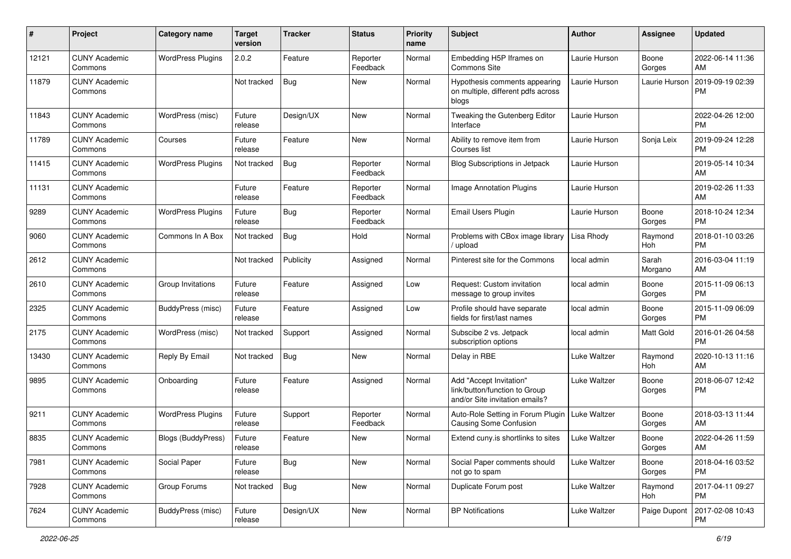| #     | Project                         | <b>Category name</b>      | <b>Target</b><br>version | <b>Tracker</b> | <b>Status</b>        | <b>Priority</b><br>name | <b>Subject</b>                                                                             | Author        | Assignee         | <b>Updated</b>                |
|-------|---------------------------------|---------------------------|--------------------------|----------------|----------------------|-------------------------|--------------------------------------------------------------------------------------------|---------------|------------------|-------------------------------|
| 12121 | <b>CUNY Academic</b><br>Commons | <b>WordPress Plugins</b>  | 2.0.2                    | Feature        | Reporter<br>Feedback | Normal                  | Embedding H5P Iframes on<br>Commons Site                                                   | Laurie Hurson | Boone<br>Gorges  | 2022-06-14 11:36<br>AM        |
| 11879 | <b>CUNY Academic</b><br>Commons |                           | Not tracked              | <b>Bug</b>     | New                  | Normal                  | Hypothesis comments appearing<br>on multiple, different pdfs across<br>blogs               | Laurie Hurson | Laurie Hurson    | 2019-09-19 02:39<br><b>PM</b> |
| 11843 | <b>CUNY Academic</b><br>Commons | WordPress (misc)          | Future<br>release        | Design/UX      | <b>New</b>           | Normal                  | Tweaking the Gutenberg Editor<br>Interface                                                 | Laurie Hurson |                  | 2022-04-26 12:00<br><b>PM</b> |
| 11789 | <b>CUNY Academic</b><br>Commons | Courses                   | Future<br>release        | Feature        | New                  | Normal                  | Ability to remove item from<br>Courses list                                                | Laurie Hurson | Sonja Leix       | 2019-09-24 12:28<br><b>PM</b> |
| 11415 | <b>CUNY Academic</b><br>Commons | <b>WordPress Plugins</b>  | Not tracked              | Bug            | Reporter<br>Feedback | Normal                  | Blog Subscriptions in Jetpack                                                              | Laurie Hurson |                  | 2019-05-14 10:34<br>AM        |
| 11131 | <b>CUNY Academic</b><br>Commons |                           | Future<br>release        | Feature        | Reporter<br>Feedback | Normal                  | <b>Image Annotation Plugins</b>                                                            | Laurie Hurson |                  | 2019-02-26 11:33<br>AM        |
| 9289  | <b>CUNY Academic</b><br>Commons | <b>WordPress Plugins</b>  | Future<br>release        | <b>Bug</b>     | Reporter<br>Feedback | Normal                  | Email Users Plugin                                                                         | Laurie Hurson | Boone<br>Gorges  | 2018-10-24 12:34<br><b>PM</b> |
| 9060  | <b>CUNY Academic</b><br>Commons | Commons In A Box          | Not tracked              | <b>Bug</b>     | Hold                 | Normal                  | Problems with CBox image library<br>upload                                                 | Lisa Rhody    | Raymond<br>Hoh   | 2018-01-10 03:26<br><b>PM</b> |
| 2612  | <b>CUNY Academic</b><br>Commons |                           | Not tracked              | Publicity      | Assigned             | Normal                  | Pinterest site for the Commons                                                             | local admin   | Sarah<br>Morgano | 2016-03-04 11:19<br>AM        |
| 2610  | <b>CUNY Academic</b><br>Commons | Group Invitations         | Future<br>release        | Feature        | Assigned             | Low                     | Request: Custom invitation<br>message to group invites                                     | local admin   | Boone<br>Gorges  | 2015-11-09 06:13<br><b>PM</b> |
| 2325  | <b>CUNY Academic</b><br>Commons | BuddyPress (misc)         | Future<br>release        | Feature        | Assigned             | Low                     | Profile should have separate<br>fields for first/last names                                | local admin   | Boone<br>Gorges  | 2015-11-09 06:09<br><b>PM</b> |
| 2175  | <b>CUNY Academic</b><br>Commons | WordPress (misc)          | Not tracked              | Support        | Assigned             | Normal                  | Subscibe 2 vs. Jetpack<br>subscription options                                             | local admin   | Matt Gold        | 2016-01-26 04:58<br><b>PM</b> |
| 13430 | <b>CUNY Academic</b><br>Commons | Reply By Email            | Not tracked              | <b>Bug</b>     | <b>New</b>           | Normal                  | Delay in RBE                                                                               | Luke Waltzer  | Raymond<br>Hoh   | 2020-10-13 11:16<br>AM        |
| 9895  | <b>CUNY Academic</b><br>Commons | Onboarding                | Future<br>release        | Feature        | Assigned             | Normal                  | Add "Accept Invitation"<br>link/button/function to Group<br>and/or Site invitation emails? | Luke Waltzer  | Boone<br>Gorges  | 2018-06-07 12:42<br><b>PM</b> |
| 9211  | <b>CUNY Academic</b><br>Commons | <b>WordPress Plugins</b>  | Future<br>release        | Support        | Reporter<br>Feedback | Normal                  | Auto-Role Setting in Forum Plugin<br>Causing Some Confusion                                | Luke Waltzer  | Boone<br>Gorges  | 2018-03-13 11:44<br>AM        |
| 8835  | <b>CUNY Academic</b><br>Commons | <b>Blogs (BuddyPress)</b> | Future<br>release        | Feature        | New                  | Normal                  | Extend cuny is shortlinks to sites                                                         | Luke Waltzer  | Boone<br>Gorges  | 2022-04-26 11:59<br>AM        |
| 7981  | <b>CUNY Academic</b><br>Commons | Social Paper              | Future<br>release        | Bug            | New                  | Normal                  | Social Paper comments should<br>not go to spam                                             | Luke Waltzer  | Boone<br>Gorges  | 2018-04-16 03:52<br><b>PM</b> |
| 7928  | <b>CUNY Academic</b><br>Commons | Group Forums              | Not tracked              | <b>Bug</b>     | New                  | Normal                  | Duplicate Forum post                                                                       | Luke Waltzer  | Raymond<br>Hoh   | 2017-04-11 09:27<br><b>PM</b> |
| 7624  | <b>CUNY Academic</b><br>Commons | BuddyPress (misc)         | Future<br>release        | Design/UX      | New                  | Normal                  | <b>BP Notifications</b>                                                                    | Luke Waltzer  | Paige Dupont     | 2017-02-08 10:43<br>PM        |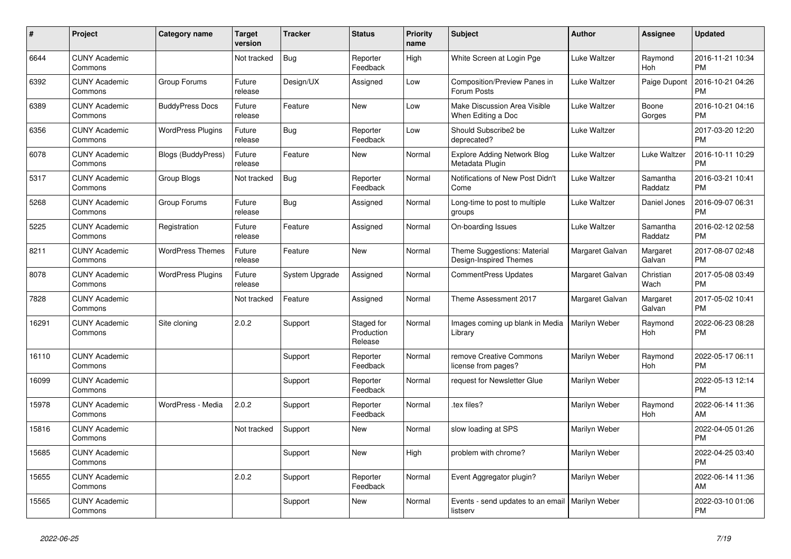| #     | Project                         | <b>Category name</b>      | <b>Target</b><br>version | <b>Tracker</b> | <b>Status</b>                       | <b>Priority</b><br>name | <b>Subject</b>                                        | <b>Author</b>   | Assignee              | <b>Updated</b>                |
|-------|---------------------------------|---------------------------|--------------------------|----------------|-------------------------------------|-------------------------|-------------------------------------------------------|-----------------|-----------------------|-------------------------------|
| 6644  | <b>CUNY Academic</b><br>Commons |                           | Not tracked              | Bug            | Reporter<br>Feedback                | High                    | White Screen at Login Pge                             | Luke Waltzer    | Raymond<br>Hoh        | 2016-11-21 10:34<br><b>PM</b> |
| 6392  | <b>CUNY Academic</b><br>Commons | Group Forums              | Future<br>release        | Design/UX      | Assigned                            | Low                     | Composition/Preview Panes in<br>Forum Posts           | Luke Waltzer    | Paige Dupont          | 2016-10-21 04:26<br><b>PM</b> |
| 6389  | <b>CUNY Academic</b><br>Commons | <b>BuddyPress Docs</b>    | Future<br>release        | Feature        | <b>New</b>                          | Low                     | Make Discussion Area Visible<br>When Editing a Doc    | Luke Waltzer    | Boone<br>Gorges       | 2016-10-21 04:16<br><b>PM</b> |
| 6356  | <b>CUNY Academic</b><br>Commons | <b>WordPress Plugins</b>  | Future<br>release        | <b>Bug</b>     | Reporter<br>Feedback                | Low                     | Should Subscribe2 be<br>deprecated?                   | Luke Waltzer    |                       | 2017-03-20 12:20<br><b>PM</b> |
| 6078  | <b>CUNY Academic</b><br>Commons | <b>Blogs (BuddyPress)</b> | Future<br>release        | Feature        | New                                 | Normal                  | <b>Explore Adding Network Blog</b><br>Metadata Plugin | Luke Waltzer    | Luke Waltzer          | 2016-10-11 10:29<br><b>PM</b> |
| 5317  | <b>CUNY Academic</b><br>Commons | Group Blogs               | Not tracked              | Bug            | Reporter<br>Feedback                | Normal                  | Notifications of New Post Didn't<br>Come              | Luke Waltzer    | Samantha<br>Raddatz   | 2016-03-21 10:41<br><b>PM</b> |
| 5268  | <b>CUNY Academic</b><br>Commons | Group Forums              | Future<br>release        | Bug            | Assigned                            | Normal                  | Long-time to post to multiple<br>groups               | Luke Waltzer    | Daniel Jones          | 2016-09-07 06:31<br><b>PM</b> |
| 5225  | <b>CUNY Academic</b><br>Commons | Registration              | Future<br>release        | Feature        | Assigned                            | Normal                  | On-boarding Issues                                    | Luke Waltzer    | Samantha<br>Raddatz   | 2016-02-12 02:58<br><b>PM</b> |
| 8211  | <b>CUNY Academic</b><br>Commons | <b>WordPress Themes</b>   | Future<br>release        | Feature        | New                                 | Normal                  | Theme Suggestions: Material<br>Design-Inspired Themes | Margaret Galvan | Margaret<br>Galvan    | 2017-08-07 02:48<br><b>PM</b> |
| 8078  | <b>CUNY Academic</b><br>Commons | <b>WordPress Plugins</b>  | Future<br>release        | System Upgrade | Assigned                            | Normal                  | <b>CommentPress Updates</b>                           | Margaret Galvan | Christian<br>Wach     | 2017-05-08 03:49<br><b>PM</b> |
| 7828  | <b>CUNY Academic</b><br>Commons |                           | Not tracked              | Feature        | Assigned                            | Normal                  | Theme Assessment 2017                                 | Margaret Galvan | Margaret<br>Galvan    | 2017-05-02 10:41<br><b>PM</b> |
| 16291 | <b>CUNY Academic</b><br>Commons | Site cloning              | 2.0.2                    | Support        | Staged for<br>Production<br>Release | Normal                  | Images coming up blank in Media<br>Library            | Marilyn Weber   | Raymond<br><b>Hoh</b> | 2022-06-23 08:28<br><b>PM</b> |
| 16110 | <b>CUNY Academic</b><br>Commons |                           |                          | Support        | Reporter<br>Feedback                | Normal                  | remove Creative Commons<br>license from pages?        | Marilyn Weber   | Raymond<br>Hoh        | 2022-05-17 06:11<br><b>PM</b> |
| 16099 | <b>CUNY Academic</b><br>Commons |                           |                          | Support        | Reporter<br>Feedback                | Normal                  | request for Newsletter Glue                           | Marilyn Weber   |                       | 2022-05-13 12:14<br><b>PM</b> |
| 15978 | <b>CUNY Academic</b><br>Commons | WordPress - Media         | 2.0.2                    | Support        | Reporter<br>Feedback                | Normal                  | .tex files?                                           | Marilyn Weber   | Raymond<br>Hoh        | 2022-06-14 11:36<br>AM        |
| 15816 | <b>CUNY Academic</b><br>Commons |                           | Not tracked              | Support        | New                                 | Normal                  | slow loading at SPS                                   | Marilyn Weber   |                       | 2022-04-05 01:26<br><b>PM</b> |
| 15685 | <b>CUNY Academic</b><br>Commons |                           |                          | Support        | <b>New</b>                          | High                    | problem with chrome?                                  | Marilyn Weber   |                       | 2022-04-25 03:40<br><b>PM</b> |
| 15655 | <b>CUNY Academic</b><br>Commons |                           | 2.0.2                    | Support        | Reporter<br>Feedback                | Normal                  | Event Aggregator plugin?                              | Marilyn Weber   |                       | 2022-06-14 11:36<br>AM        |
| 15565 | <b>CUNY Academic</b><br>Commons |                           |                          | Support        | <b>New</b>                          | Normal                  | Events - send updates to an email<br>listserv         | Marilyn Weber   |                       | 2022-03-10 01:06<br><b>PM</b> |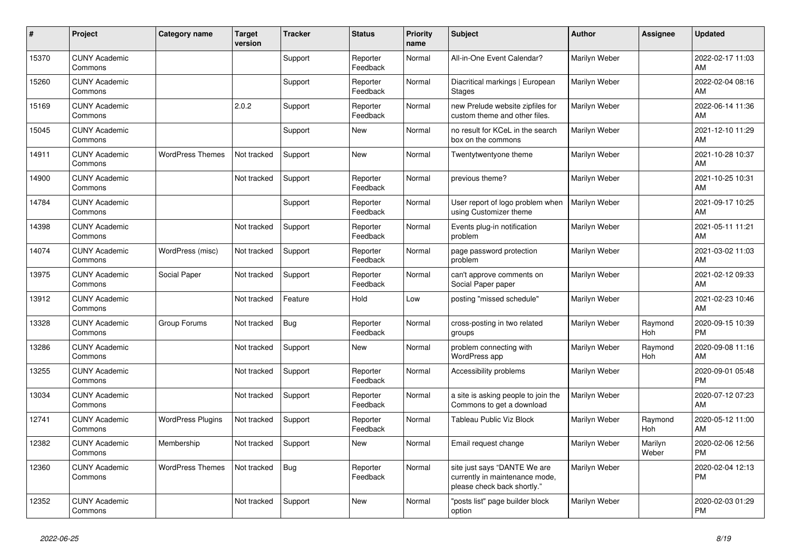| #     | Project                         | <b>Category name</b>     | <b>Target</b><br>version | <b>Tracker</b> | <b>Status</b>        | <b>Priority</b><br>name | <b>Subject</b>                                                                                | <b>Author</b> | <b>Assignee</b>  | <b>Updated</b>                |
|-------|---------------------------------|--------------------------|--------------------------|----------------|----------------------|-------------------------|-----------------------------------------------------------------------------------------------|---------------|------------------|-------------------------------|
| 15370 | <b>CUNY Academic</b><br>Commons |                          |                          | Support        | Reporter<br>Feedback | Normal                  | All-in-One Event Calendar?                                                                    | Marilyn Weber |                  | 2022-02-17 11:03<br>AM        |
| 15260 | <b>CUNY Academic</b><br>Commons |                          |                          | Support        | Reporter<br>Feedback | Normal                  | Diacritical markings   European<br><b>Stages</b>                                              | Marilyn Weber |                  | 2022-02-04 08:16<br>AM        |
| 15169 | <b>CUNY Academic</b><br>Commons |                          | 2.0.2                    | Support        | Reporter<br>Feedback | Normal                  | new Prelude website zipfiles for<br>custom theme and other files.                             | Marilyn Weber |                  | 2022-06-14 11:36<br>AM        |
| 15045 | <b>CUNY Academic</b><br>Commons |                          |                          | Support        | New                  | Normal                  | no result for KCeL in the search<br>box on the commons                                        | Marilyn Weber |                  | 2021-12-10 11:29<br>AM        |
| 14911 | <b>CUNY Academic</b><br>Commons | <b>WordPress Themes</b>  | Not tracked              | Support        | <b>New</b>           | Normal                  | Twentytwentyone theme                                                                         | Marilyn Weber |                  | 2021-10-28 10:37<br>AM        |
| 14900 | <b>CUNY Academic</b><br>Commons |                          | Not tracked              | Support        | Reporter<br>Feedback | Normal                  | previous theme?                                                                               | Marilyn Weber |                  | 2021-10-25 10:31<br>AM        |
| 14784 | <b>CUNY Academic</b><br>Commons |                          |                          | Support        | Reporter<br>Feedback | Normal                  | User report of logo problem when<br>using Customizer theme                                    | Marilyn Weber |                  | 2021-09-17 10:25<br>AM        |
| 14398 | <b>CUNY Academic</b><br>Commons |                          | Not tracked              | Support        | Reporter<br>Feedback | Normal                  | Events plug-in notification<br>problem                                                        | Marilyn Weber |                  | 2021-05-11 11:21<br>AM        |
| 14074 | <b>CUNY Academic</b><br>Commons | WordPress (misc)         | Not tracked              | Support        | Reporter<br>Feedback | Normal                  | page password protection<br>problem                                                           | Marilyn Weber |                  | 2021-03-02 11:03<br>AM        |
| 13975 | <b>CUNY Academic</b><br>Commons | Social Paper             | Not tracked              | Support        | Reporter<br>Feedback | Normal                  | can't approve comments on<br>Social Paper paper                                               | Marilyn Weber |                  | 2021-02-12 09:33<br>AM        |
| 13912 | <b>CUNY Academic</b><br>Commons |                          | Not tracked              | Feature        | Hold                 | Low                     | posting "missed schedule"                                                                     | Marilyn Weber |                  | 2021-02-23 10:46<br>AM        |
| 13328 | <b>CUNY Academic</b><br>Commons | Group Forums             | Not tracked              | <b>Bug</b>     | Reporter<br>Feedback | Normal                  | cross-posting in two related<br>groups                                                        | Marilyn Weber | Raymond<br>Hoh   | 2020-09-15 10:39<br><b>PM</b> |
| 13286 | <b>CUNY Academic</b><br>Commons |                          | Not tracked              | Support        | <b>New</b>           | Normal                  | problem connecting with<br>WordPress app                                                      | Marilyn Weber | Raymond<br>Hoh   | 2020-09-08 11:16<br>AM        |
| 13255 | <b>CUNY Academic</b><br>Commons |                          | Not tracked              | Support        | Reporter<br>Feedback | Normal                  | Accessibility problems                                                                        | Marilyn Weber |                  | 2020-09-01 05:48<br><b>PM</b> |
| 13034 | <b>CUNY Academic</b><br>Commons |                          | Not tracked              | Support        | Reporter<br>Feedback | Normal                  | a site is asking people to join the<br>Commons to get a download                              | Marilyn Weber |                  | 2020-07-12 07:23<br>AM        |
| 12741 | <b>CUNY Academic</b><br>Commons | <b>WordPress Plugins</b> | Not tracked              | Support        | Reporter<br>Feedback | Normal                  | Tableau Public Viz Block                                                                      | Marilyn Weber | Raymond<br>Hoh   | 2020-05-12 11:00<br>AM        |
| 12382 | <b>CUNY Academic</b><br>Commons | Membership               | Not tracked              | Support        | <b>New</b>           | Normal                  | Email request change                                                                          | Marilyn Weber | Marilyn<br>Weber | 2020-02-06 12:56<br>PM        |
| 12360 | <b>CUNY Academic</b><br>Commons | <b>WordPress Themes</b>  | Not tracked              | <b>Bug</b>     | Reporter<br>Feedback | Normal                  | site just says "DANTE We are<br>currently in maintenance mode,<br>please check back shortly." | Marilyn Weber |                  | 2020-02-04 12:13<br>PM        |
| 12352 | <b>CUNY Academic</b><br>Commons |                          | Not tracked              | Support        | <b>New</b>           | Normal                  | "posts list" page builder block<br>option                                                     | Marilyn Weber |                  | 2020-02-03 01:29<br><b>PM</b> |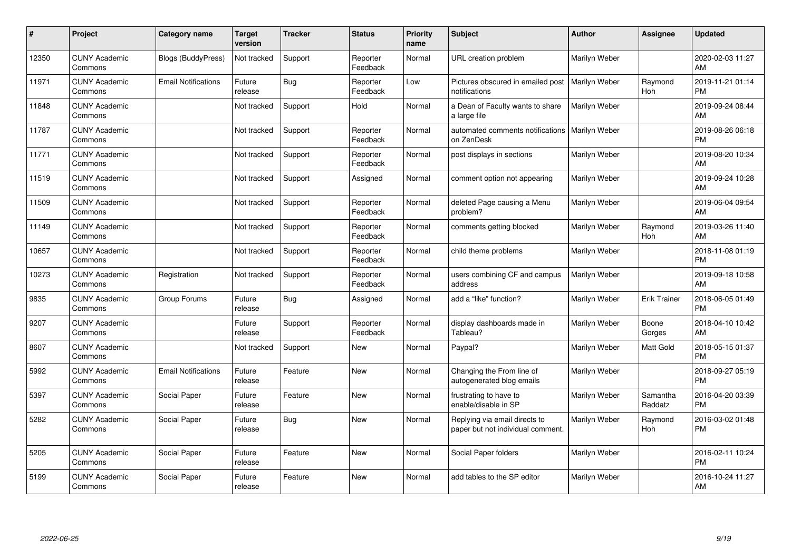| #     | Project                         | <b>Category name</b>       | <b>Target</b><br>version | <b>Tracker</b> | <b>Status</b>        | <b>Priority</b><br>name | <b>Subject</b>                                                     | <b>Author</b> | <b>Assignee</b>     | <b>Updated</b>                |
|-------|---------------------------------|----------------------------|--------------------------|----------------|----------------------|-------------------------|--------------------------------------------------------------------|---------------|---------------------|-------------------------------|
| 12350 | <b>CUNY Academic</b><br>Commons | Blogs (BuddyPress)         | Not tracked              | Support        | Reporter<br>Feedback | Normal                  | URL creation problem                                               | Marilyn Weber |                     | 2020-02-03 11:27<br>AM        |
| 11971 | <b>CUNY Academic</b><br>Commons | <b>Email Notifications</b> | Future<br>release        | Bug            | Reporter<br>Feedback | Low                     | Pictures obscured in emailed post<br>notifications                 | Marilyn Weber | Raymond<br>Hoh      | 2019-11-21 01:14<br><b>PM</b> |
| 11848 | <b>CUNY Academic</b><br>Commons |                            | Not tracked              | Support        | Hold                 | Normal                  | a Dean of Faculty wants to share<br>a large file                   | Marilyn Weber |                     | 2019-09-24 08:44<br>AM        |
| 11787 | <b>CUNY Academic</b><br>Commons |                            | Not tracked              | Support        | Reporter<br>Feedback | Normal                  | automated comments notifications<br>on ZenDesk                     | Marilyn Weber |                     | 2019-08-26 06:18<br><b>PM</b> |
| 11771 | <b>CUNY Academic</b><br>Commons |                            | Not tracked              | Support        | Reporter<br>Feedback | Normal                  | post displays in sections                                          | Marilyn Weber |                     | 2019-08-20 10:34<br>AM        |
| 11519 | <b>CUNY Academic</b><br>Commons |                            | Not tracked              | Support        | Assigned             | Normal                  | comment option not appearing                                       | Marilyn Weber |                     | 2019-09-24 10:28<br>AM        |
| 11509 | <b>CUNY Academic</b><br>Commons |                            | Not tracked              | Support        | Reporter<br>Feedback | Normal                  | deleted Page causing a Menu<br>problem?                            | Marilyn Weber |                     | 2019-06-04 09:54<br>AM        |
| 11149 | <b>CUNY Academic</b><br>Commons |                            | Not tracked              | Support        | Reporter<br>Feedback | Normal                  | comments getting blocked                                           | Marilyn Weber | Raymond<br>Hoh      | 2019-03-26 11:40<br>AM        |
| 10657 | <b>CUNY Academic</b><br>Commons |                            | Not tracked              | Support        | Reporter<br>Feedback | Normal                  | child theme problems                                               | Marilyn Weber |                     | 2018-11-08 01:19<br><b>PM</b> |
| 10273 | <b>CUNY Academic</b><br>Commons | Registration               | Not tracked              | Support        | Reporter<br>Feedback | Normal                  | users combining CF and campus<br>address                           | Marilyn Weber |                     | 2019-09-18 10:58<br>AM        |
| 9835  | <b>CUNY Academic</b><br>Commons | Group Forums               | Future<br>release        | Bug            | Assigned             | Normal                  | add a "like" function?                                             | Marilyn Weber | <b>Erik Trainer</b> | 2018-06-05 01:49<br><b>PM</b> |
| 9207  | <b>CUNY Academic</b><br>Commons |                            | Future<br>release        | Support        | Reporter<br>Feedback | Normal                  | display dashboards made in<br>Tableau?                             | Marilyn Weber | Boone<br>Gorges     | 2018-04-10 10:42<br>AM        |
| 8607  | <b>CUNY Academic</b><br>Commons |                            | Not tracked              | Support        | New                  | Normal                  | Paypal?                                                            | Marilyn Weber | Matt Gold           | 2018-05-15 01:37<br><b>PM</b> |
| 5992  | <b>CUNY Academic</b><br>Commons | <b>Email Notifications</b> | Future<br>release        | Feature        | <b>New</b>           | Normal                  | Changing the From line of<br>autogenerated blog emails             | Marilyn Weber |                     | 2018-09-27 05:19<br><b>PM</b> |
| 5397  | <b>CUNY Academic</b><br>Commons | Social Paper               | Future<br>release        | Feature        | <b>New</b>           | Normal                  | frustrating to have to<br>enable/disable in SP                     | Marilyn Weber | Samantha<br>Raddatz | 2016-04-20 03:39<br><b>PM</b> |
| 5282  | <b>CUNY Academic</b><br>Commons | Social Paper               | Future<br>release        | Bug            | <b>New</b>           | Normal                  | Replying via email directs to<br>paper but not individual comment. | Marilyn Weber | Raymond<br>Hoh      | 2016-03-02 01:48<br><b>PM</b> |
| 5205  | <b>CUNY Academic</b><br>Commons | Social Paper               | Future<br>release        | Feature        | New                  | Normal                  | Social Paper folders                                               | Marilyn Weber |                     | 2016-02-11 10:24<br><b>PM</b> |
| 5199  | <b>CUNY Academic</b><br>Commons | Social Paper               | Future<br>release        | Feature        | <b>New</b>           | Normal                  | add tables to the SP editor                                        | Marilyn Weber |                     | 2016-10-24 11:27<br>AM        |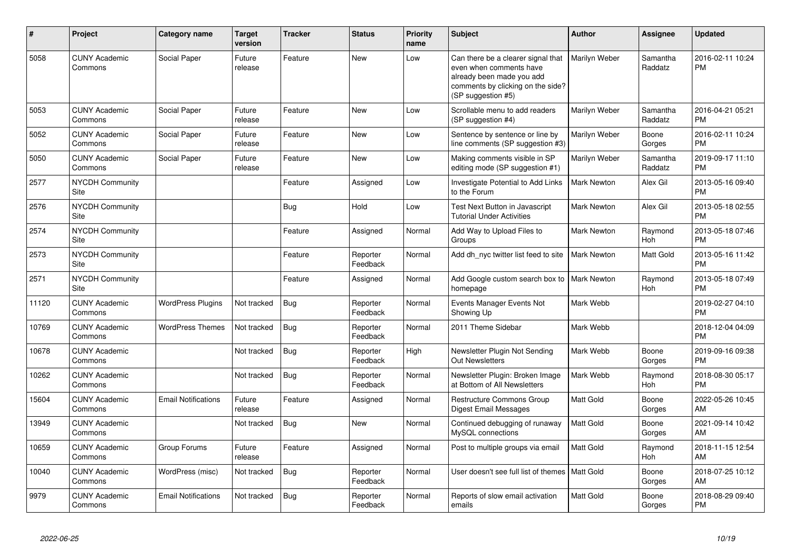| #     | <b>Project</b>                  | <b>Category name</b>       | <b>Target</b><br>version | <b>Tracker</b> | <b>Status</b>        | Priority<br>name | <b>Subject</b>                                                                                                                                        | Author             | Assignee              | <b>Updated</b>                |
|-------|---------------------------------|----------------------------|--------------------------|----------------|----------------------|------------------|-------------------------------------------------------------------------------------------------------------------------------------------------------|--------------------|-----------------------|-------------------------------|
| 5058  | <b>CUNY Academic</b><br>Commons | Social Paper               | Future<br>release        | Feature        | <b>New</b>           | Low              | Can there be a clearer signal that<br>even when comments have<br>already been made you add<br>comments by clicking on the side?<br>(SP suggestion #5) | Marilyn Weber      | Samantha<br>Raddatz   | 2016-02-11 10:24<br><b>PM</b> |
| 5053  | <b>CUNY Academic</b><br>Commons | Social Paper               | Future<br>release        | Feature        | <b>New</b>           | Low              | Scrollable menu to add readers<br>(SP suggestion #4)                                                                                                  | Marilyn Weber      | Samantha<br>Raddatz   | 2016-04-21 05:21<br><b>PM</b> |
| 5052  | <b>CUNY Academic</b><br>Commons | Social Paper               | Future<br>release        | Feature        | <b>New</b>           | Low              | Sentence by sentence or line by<br>line comments (SP suggestion #3)                                                                                   | Marilyn Weber      | Boone<br>Gorges       | 2016-02-11 10:24<br><b>PM</b> |
| 5050  | <b>CUNY Academic</b><br>Commons | Social Paper               | Future<br>release        | Feature        | <b>New</b>           | Low              | Making comments visible in SP<br>editing mode (SP suggestion #1)                                                                                      | Marilyn Weber      | Samantha<br>Raddatz   | 2019-09-17 11:10<br><b>PM</b> |
| 2577  | <b>NYCDH Community</b><br>Site  |                            |                          | Feature        | Assigned             | Low              | Investigate Potential to Add Links<br>to the Forum                                                                                                    | Mark Newton        | Alex Gil              | 2013-05-16 09:40<br>PM        |
| 2576  | <b>NYCDH Community</b><br>Site  |                            |                          | Bug            | Hold                 | Low              | Test Next Button in Javascript<br><b>Tutorial Under Activities</b>                                                                                    | Mark Newton        | Alex Gil              | 2013-05-18 02:55<br><b>PM</b> |
| 2574  | NYCDH Community<br>Site         |                            |                          | Feature        | Assigned             | Normal           | Add Way to Upload Files to<br>Groups                                                                                                                  | <b>Mark Newton</b> | Raymond<br>Hoh        | 2013-05-18 07:46<br>PM        |
| 2573  | <b>NYCDH Community</b><br>Site  |                            |                          | Feature        | Reporter<br>Feedback | Normal           | Add dh nyc twitter list feed to site                                                                                                                  | <b>Mark Newton</b> | <b>Matt Gold</b>      | 2013-05-16 11:42<br><b>PM</b> |
| 2571  | <b>NYCDH Community</b><br>Site  |                            |                          | Feature        | Assigned             | Normal           | Add Google custom search box to<br>homepage                                                                                                           | <b>Mark Newton</b> | Raymond<br><b>Hoh</b> | 2013-05-18 07:49<br><b>PM</b> |
| 11120 | <b>CUNY Academic</b><br>Commons | <b>WordPress Plugins</b>   | Not tracked              | Bug            | Reporter<br>Feedback | Normal           | Events Manager Events Not<br>Showing Up                                                                                                               | Mark Webb          |                       | 2019-02-27 04:10<br>РM        |
| 10769 | <b>CUNY Academic</b><br>Commons | <b>WordPress Themes</b>    | Not tracked              | <b>Bug</b>     | Reporter<br>Feedback | Normal           | 2011 Theme Sidebar                                                                                                                                    | Mark Webb          |                       | 2018-12-04 04:09<br><b>PM</b> |
| 10678 | <b>CUNY Academic</b><br>Commons |                            | Not tracked              | <b>Bug</b>     | Reporter<br>Feedback | High             | Newsletter Plugin Not Sending<br><b>Out Newsletters</b>                                                                                               | Mark Webb          | Boone<br>Gorges       | 2019-09-16 09:38<br><b>PM</b> |
| 10262 | <b>CUNY Academic</b><br>Commons |                            | Not tracked              | Bug            | Reporter<br>Feedback | Normal           | Newsletter Plugin: Broken Image<br>at Bottom of All Newsletters                                                                                       | Mark Webb          | Raymond<br>Hoh        | 2018-08-30 05:17<br>PM        |
| 15604 | <b>CUNY Academic</b><br>Commons | <b>Email Notifications</b> | Future<br>release        | Feature        | Assigned             | Normal           | <b>Restructure Commons Group</b><br>Digest Email Messages                                                                                             | Matt Gold          | Boone<br>Gorges       | 2022-05-26 10:45<br>AM        |
| 13949 | <b>CUNY Academic</b><br>Commons |                            | Not tracked              | <b>Bug</b>     | <b>New</b>           | Normal           | Continued debugging of runaway<br>MySQL connections                                                                                                   | Matt Gold          | Boone<br>Gorges       | 2021-09-14 10:42<br>AM        |
| 10659 | <b>CUNY Academic</b><br>Commons | Group Forums               | Future<br>release        | Feature        | Assigned             | Normal           | Post to multiple groups via email                                                                                                                     | Matt Gold          | Raymond<br><b>Hoh</b> | 2018-11-15 12:54<br>AM        |
| 10040 | <b>CUNY Academic</b><br>Commons | WordPress (misc)           | Not tracked              | Bug            | Reporter<br>Feedback | Normal           | User doesn't see full list of themes   Matt Gold                                                                                                      |                    | Boone<br>Gorges       | 2018-07-25 10:12<br>AM        |
| 9979  | <b>CUNY Academic</b><br>Commons | <b>Email Notifications</b> | Not tracked              | Bug            | Reporter<br>Feedback | Normal           | Reports of slow email activation<br>emails                                                                                                            | Matt Gold          | Boone<br>Gorges       | 2018-08-29 09:40<br><b>PM</b> |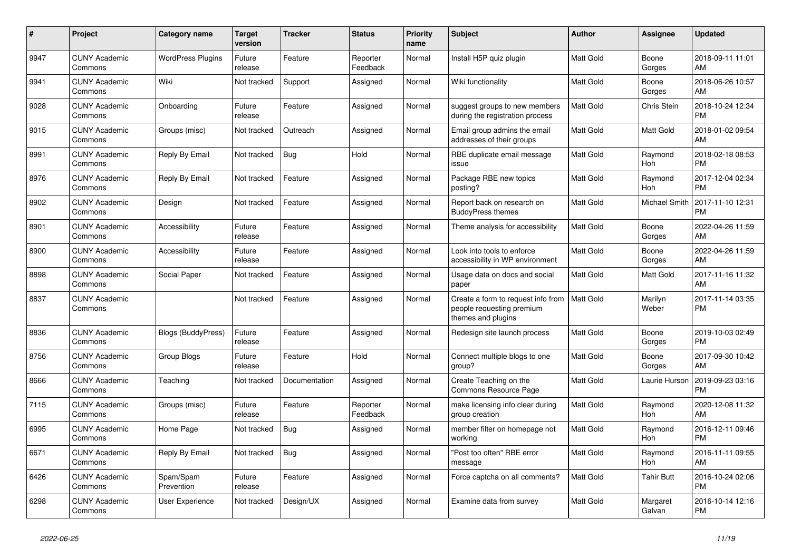| #    | Project                         | <b>Category name</b>     | <b>Target</b><br>version | <b>Tracker</b> | <b>Status</b>        | <b>Priority</b><br>name | <b>Subject</b>                                                                        | <b>Author</b>    | Assignee              | <b>Updated</b>                |
|------|---------------------------------|--------------------------|--------------------------|----------------|----------------------|-------------------------|---------------------------------------------------------------------------------------|------------------|-----------------------|-------------------------------|
| 9947 | <b>CUNY Academic</b><br>Commons | <b>WordPress Plugins</b> | Future<br>release        | Feature        | Reporter<br>Feedback | Normal                  | Install H5P quiz plugin                                                               | <b>Matt Gold</b> | Boone<br>Gorges       | 2018-09-11 11:01<br>AM        |
| 9941 | <b>CUNY Academic</b><br>Commons | Wiki                     | Not tracked              | Support        | Assigned             | Normal                  | Wiki functionality                                                                    | Matt Gold        | Boone<br>Gorges       | 2018-06-26 10:57<br>AM        |
| 9028 | <b>CUNY Academic</b><br>Commons | Onboarding               | Future<br>release        | Feature        | Assigned             | Normal                  | suggest groups to new members<br>during the registration process                      | Matt Gold        | Chris Stein           | 2018-10-24 12:34<br><b>PM</b> |
| 9015 | <b>CUNY Academic</b><br>Commons | Groups (misc)            | Not tracked              | Outreach       | Assigned             | Normal                  | Email group admins the email<br>addresses of their groups                             | Matt Gold        | Matt Gold             | 2018-01-02 09:54<br>AM        |
| 8991 | <b>CUNY Academic</b><br>Commons | Reply By Email           | Not tracked              | Bug            | Hold                 | Normal                  | RBE duplicate email message<br>issue                                                  | Matt Gold        | Raymond<br>Hoh        | 2018-02-18 08:53<br><b>PM</b> |
| 8976 | <b>CUNY Academic</b><br>Commons | Reply By Email           | Not tracked              | Feature        | Assigned             | Normal                  | Package RBE new topics<br>posting?                                                    | Matt Gold        | Raymond<br>Hoh        | 2017-12-04 02:34<br><b>PM</b> |
| 8902 | <b>CUNY Academic</b><br>Commons | Design                   | Not tracked              | Feature        | Assigned             | Normal                  | Report back on research on<br><b>BuddyPress themes</b>                                | <b>Matt Gold</b> | Michael Smith         | 2017-11-10 12:31<br><b>PM</b> |
| 8901 | <b>CUNY Academic</b><br>Commons | Accessibility            | Future<br>release        | Feature        | Assigned             | Normal                  | Theme analysis for accessibility                                                      | Matt Gold        | Boone<br>Gorges       | 2022-04-26 11:59<br>AM        |
| 8900 | <b>CUNY Academic</b><br>Commons | Accessibility            | Future<br>release        | Feature        | Assigned             | Normal                  | Look into tools to enforce<br>accessibility in WP environment                         | Matt Gold        | Boone<br>Gorges       | 2022-04-26 11:59<br>AM        |
| 8898 | <b>CUNY Academic</b><br>Commons | Social Paper             | Not tracked              | Feature        | Assigned             | Normal                  | Usage data on docs and social<br>paper                                                | Matt Gold        | Matt Gold             | 2017-11-16 11:32<br>AM        |
| 8837 | <b>CUNY Academic</b><br>Commons |                          | Not tracked              | Feature        | Assigned             | Normal                  | Create a form to request info from<br>people requesting premium<br>themes and plugins | <b>Matt Gold</b> | Marilyn<br>Weber      | 2017-11-14 03:35<br><b>PM</b> |
| 8836 | <b>CUNY Academic</b><br>Commons | Blogs (BuddyPress)       | Future<br>release        | Feature        | Assigned             | Normal                  | Redesign site launch process                                                          | <b>Matt Gold</b> | Boone<br>Gorges       | 2019-10-03 02:49<br><b>PM</b> |
| 8756 | <b>CUNY Academic</b><br>Commons | Group Blogs              | Future<br>release        | Feature        | Hold                 | Normal                  | Connect multiple blogs to one<br>group?                                               | Matt Gold        | Boone<br>Gorges       | 2017-09-30 10:42<br>AM        |
| 8666 | <b>CUNY Academic</b><br>Commons | Teaching                 | Not tracked              | Documentation  | Assigned             | Normal                  | Create Teaching on the<br>Commons Resource Page                                       | Matt Gold        | Laurie Hurson         | 2019-09-23 03:16<br><b>PM</b> |
| 7115 | <b>CUNY Academic</b><br>Commons | Groups (misc)            | Future<br>release        | Feature        | Reporter<br>Feedback | Normal                  | make licensing info clear during<br>group creation                                    | <b>Matt Gold</b> | Raymond<br><b>Hoh</b> | 2020-12-08 11:32<br>AM        |
| 6995 | <b>CUNY Academic</b><br>Commons | Home Page                | Not tracked              | Bug            | Assigned             | Normal                  | member filter on homepage not<br>working                                              | Matt Gold        | Raymond<br>Hoh        | 2016-12-11 09:46<br><b>PM</b> |
| 6671 | <b>CUNY Academic</b><br>Commons | Reply By Email           | Not tracked              | Bug            | Assigned             | Normal                  | "Post too often" RBE error<br>message                                                 | Matt Gold        | Raymond<br>Hoh        | 2016-11-11 09:55<br>AM        |
| 6426 | <b>CUNY Academic</b><br>Commons | Spam/Spam<br>Prevention  | Future<br>release        | Feature        | Assigned             | Normal                  | Force captcha on all comments?                                                        | Matt Gold        | <b>Tahir Butt</b>     | 2016-10-24 02:06<br><b>PM</b> |
| 6298 | <b>CUNY Academic</b><br>Commons | User Experience          | Not tracked              | Design/UX      | Assigned             | Normal                  | Examine data from survey                                                              | <b>Matt Gold</b> | Margaret<br>Galvan    | 2016-10-14 12:16<br><b>PM</b> |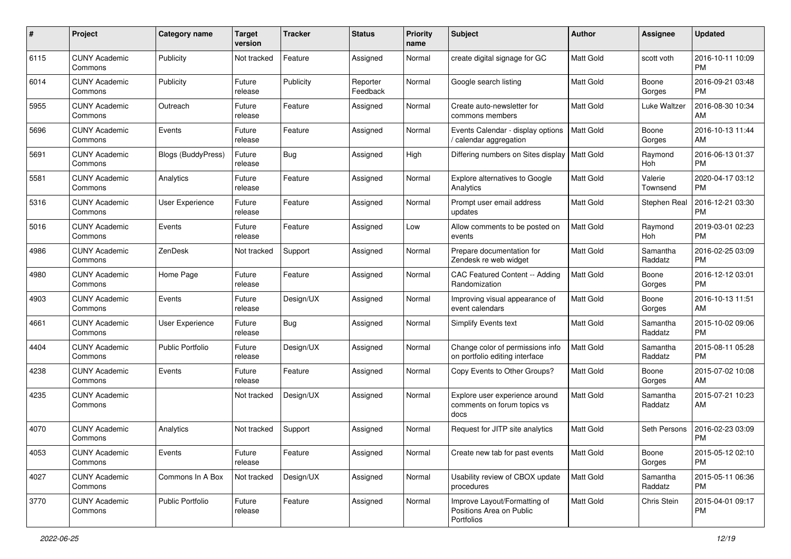| #    | Project                         | <b>Category name</b>      | <b>Target</b><br>version | <b>Tracker</b> | <b>Status</b>        | <b>Priority</b><br>name | <b>Subject</b>                                                         | Author           | Assignee            | <b>Updated</b>                |
|------|---------------------------------|---------------------------|--------------------------|----------------|----------------------|-------------------------|------------------------------------------------------------------------|------------------|---------------------|-------------------------------|
| 6115 | <b>CUNY Academic</b><br>Commons | Publicity                 | Not tracked              | Feature        | Assigned             | Normal                  | create digital signage for GC                                          | <b>Matt Gold</b> | scott voth          | 2016-10-11 10:09<br><b>PM</b> |
| 6014 | <b>CUNY Academic</b><br>Commons | Publicity                 | Future<br>release        | Publicity      | Reporter<br>Feedback | Normal                  | Google search listing                                                  | <b>Matt Gold</b> | Boone<br>Gorges     | 2016-09-21 03:48<br><b>PM</b> |
| 5955 | <b>CUNY Academic</b><br>Commons | Outreach                  | Future<br>release        | Feature        | Assigned             | Normal                  | Create auto-newsletter for<br>commons members                          | Matt Gold        | Luke Waltzer        | 2016-08-30 10:34<br>AM        |
| 5696 | <b>CUNY Academic</b><br>Commons | Events                    | Future<br>release        | Feature        | Assigned             | Normal                  | Events Calendar - display options<br>/ calendar aggregation            | <b>Matt Gold</b> | Boone<br>Gorges     | 2016-10-13 11:44<br>AM        |
| 5691 | <b>CUNY Academic</b><br>Commons | <b>Blogs (BuddyPress)</b> | Future<br>release        | Bug            | Assigned             | High                    | Differing numbers on Sites display                                     | <b>Matt Gold</b> | Raymond<br>Hoh      | 2016-06-13 01:37<br><b>PM</b> |
| 5581 | <b>CUNY Academic</b><br>Commons | Analytics                 | Future<br>release        | Feature        | Assigned             | Normal                  | Explore alternatives to Google<br>Analytics                            | <b>Matt Gold</b> | Valerie<br>Townsend | 2020-04-17 03:12<br>PM        |
| 5316 | <b>CUNY Academic</b><br>Commons | User Experience           | Future<br>release        | Feature        | Assigned             | Normal                  | Prompt user email address<br>updates                                   | Matt Gold        | Stephen Real        | 2016-12-21 03:30<br><b>PM</b> |
| 5016 | <b>CUNY Academic</b><br>Commons | Events                    | Future<br>release        | Feature        | Assigned             | Low                     | Allow comments to be posted on<br>events                               | <b>Matt Gold</b> | Raymond<br>Hoh      | 2019-03-01 02:23<br><b>PM</b> |
| 4986 | <b>CUNY Academic</b><br>Commons | ZenDesk                   | Not tracked              | Support        | Assigned             | Normal                  | Prepare documentation for<br>Zendesk re web widget                     | Matt Gold        | Samantha<br>Raddatz | 2016-02-25 03:09<br><b>PM</b> |
| 4980 | <b>CUNY Academic</b><br>Commons | Home Page                 | Future<br>release        | Feature        | Assigned             | Normal                  | <b>CAC Featured Content -- Adding</b><br>Randomization                 | Matt Gold        | Boone<br>Gorges     | 2016-12-12 03:01<br><b>PM</b> |
| 4903 | <b>CUNY Academic</b><br>Commons | Events                    | Future<br>release        | Design/UX      | Assigned             | Normal                  | Improving visual appearance of<br>event calendars                      | Matt Gold        | Boone<br>Gorges     | 2016-10-13 11:51<br>AM        |
| 4661 | <b>CUNY Academic</b><br>Commons | User Experience           | Future<br>release        | Bug            | Assigned             | Normal                  | <b>Simplify Events text</b>                                            | <b>Matt Gold</b> | Samantha<br>Raddatz | 2015-10-02 09:06<br><b>PM</b> |
| 4404 | <b>CUNY Academic</b><br>Commons | <b>Public Portfolio</b>   | Future<br>release        | Design/UX      | Assigned             | Normal                  | Change color of permissions info<br>on portfolio editing interface     | <b>Matt Gold</b> | Samantha<br>Raddatz | 2015-08-11 05:28<br><b>PM</b> |
| 4238 | <b>CUNY Academic</b><br>Commons | Events                    | Future<br>release        | Feature        | Assigned             | Normal                  | Copy Events to Other Groups?                                           | Matt Gold        | Boone<br>Gorges     | 2015-07-02 10:08<br>AM        |
| 4235 | <b>CUNY Academic</b><br>Commons |                           | Not tracked              | Design/UX      | Assigned             | Normal                  | Explore user experience around<br>comments on forum topics vs<br>docs  | <b>Matt Gold</b> | Samantha<br>Raddatz | 2015-07-21 10:23<br>AM        |
| 4070 | <b>CUNY Academic</b><br>Commons | Analytics                 | Not tracked              | Support        | Assigned             | Normal                  | Request for JITP site analytics                                        | <b>Matt Gold</b> | Seth Persons        | 2016-02-23 03:09<br>PM        |
| 4053 | <b>CUNY Academic</b><br>Commons | Events                    | Future<br>release        | Feature        | Assigned             | Normal                  | Create new tab for past events                                         | Matt Gold        | Boone<br>Gorges     | 2015-05-12 02:10<br>PM        |
| 4027 | <b>CUNY Academic</b><br>Commons | Commons In A Box          | Not tracked              | Design/UX      | Assigned             | Normal                  | Usability review of CBOX update<br>procedures                          | Matt Gold        | Samantha<br>Raddatz | 2015-05-11 06:36<br><b>PM</b> |
| 3770 | <b>CUNY Academic</b><br>Commons | Public Portfolio          | Future<br>release        | Feature        | Assigned             | Normal                  | Improve Layout/Formatting of<br>Positions Area on Public<br>Portfolios | Matt Gold        | Chris Stein         | 2015-04-01 09:17<br><b>PM</b> |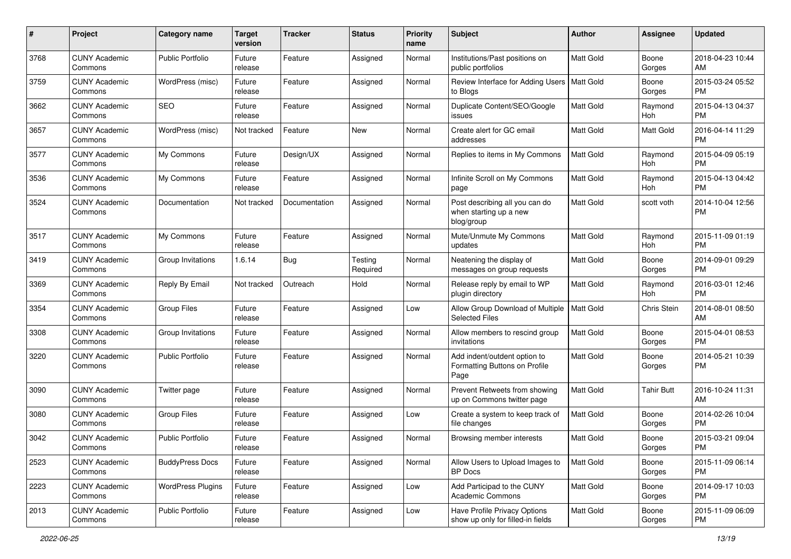| #    | Project                         | <b>Category name</b>     | <b>Target</b><br>version | <b>Tracker</b> | <b>Status</b>       | <b>Priority</b><br>name | <b>Subject</b>                                                         | Author           | Assignee          | <b>Updated</b>                |
|------|---------------------------------|--------------------------|--------------------------|----------------|---------------------|-------------------------|------------------------------------------------------------------------|------------------|-------------------|-------------------------------|
| 3768 | <b>CUNY Academic</b><br>Commons | <b>Public Portfolio</b>  | Future<br>release        | Feature        | Assigned            | Normal                  | Institutions/Past positions on<br>public portfolios                    | <b>Matt Gold</b> | Boone<br>Gorges   | 2018-04-23 10:44<br>AM        |
| 3759 | <b>CUNY Academic</b><br>Commons | WordPress (misc)         | Future<br>release        | Feature        | Assigned            | Normal                  | Review Interface for Adding Users<br>to Blogs                          | <b>Matt Gold</b> | Boone<br>Gorges   | 2015-03-24 05:52<br><b>PM</b> |
| 3662 | <b>CUNY Academic</b><br>Commons | <b>SEO</b>               | Future<br>release        | Feature        | Assigned            | Normal                  | Duplicate Content/SEO/Google<br>issues                                 | Matt Gold        | Raymond<br>Hoh    | 2015-04-13 04:37<br><b>PM</b> |
| 3657 | <b>CUNY Academic</b><br>Commons | WordPress (misc)         | Not tracked              | Feature        | <b>New</b>          | Normal                  | Create alert for GC email<br>addresses                                 | <b>Matt Gold</b> | Matt Gold         | 2016-04-14 11:29<br><b>PM</b> |
| 3577 | <b>CUNY Academic</b><br>Commons | My Commons               | Future<br>release        | Design/UX      | Assigned            | Normal                  | Replies to items in My Commons                                         | <b>Matt Gold</b> | Raymond<br>Hoh    | 2015-04-09 05:19<br><b>PM</b> |
| 3536 | <b>CUNY Academic</b><br>Commons | My Commons               | Future<br>release        | Feature        | Assigned            | Normal                  | Infinite Scroll on My Commons<br>page                                  | <b>Matt Gold</b> | Raymond<br>Hoh    | 2015-04-13 04:42<br><b>PM</b> |
| 3524 | <b>CUNY Academic</b><br>Commons | Documentation            | Not tracked              | Documentation  | Assigned            | Normal                  | Post describing all you can do<br>when starting up a new<br>blog/group | Matt Gold        | scott voth        | 2014-10-04 12:56<br><b>PM</b> |
| 3517 | <b>CUNY Academic</b><br>Commons | My Commons               | Future<br>release        | Feature        | Assigned            | Normal                  | Mute/Unmute My Commons<br>updates                                      | Matt Gold        | Raymond<br>Hoh    | 2015-11-09 01:19<br><b>PM</b> |
| 3419 | <b>CUNY Academic</b><br>Commons | Group Invitations        | 1.6.14                   | Bug            | Testing<br>Required | Normal                  | Neatening the display of<br>messages on group requests                 | <b>Matt Gold</b> | Boone<br>Gorges   | 2014-09-01 09:29<br><b>PM</b> |
| 3369 | <b>CUNY Academic</b><br>Commons | Reply By Email           | Not tracked              | Outreach       | Hold                | Normal                  | Release reply by email to WP<br>plugin directory                       | Matt Gold        | Raymond<br>Hoh    | 2016-03-01 12:46<br><b>PM</b> |
| 3354 | <b>CUNY Academic</b><br>Commons | <b>Group Files</b>       | Future<br>release        | Feature        | Assigned            | Low                     | Allow Group Download of Multiple<br><b>Selected Files</b>              | Matt Gold        | Chris Stein       | 2014-08-01 08:50<br>AM        |
| 3308 | <b>CUNY Academic</b><br>Commons | Group Invitations        | Future<br>release        | Feature        | Assigned            | Normal                  | Allow members to rescind group<br>invitations                          | <b>Matt Gold</b> | Boone<br>Gorges   | 2015-04-01 08:53<br><b>PM</b> |
| 3220 | <b>CUNY Academic</b><br>Commons | <b>Public Portfolio</b>  | Future<br>release        | Feature        | Assigned            | Normal                  | Add indent/outdent option to<br>Formatting Buttons on Profile<br>Page  | <b>Matt Gold</b> | Boone<br>Gorges   | 2014-05-21 10:39<br><b>PM</b> |
| 3090 | <b>CUNY Academic</b><br>Commons | Twitter page             | Future<br>release        | Feature        | Assigned            | Normal                  | Prevent Retweets from showing<br>up on Commons twitter page            | <b>Matt Gold</b> | <b>Tahir Butt</b> | 2016-10-24 11:31<br>AM        |
| 3080 | <b>CUNY Academic</b><br>Commons | <b>Group Files</b>       | Future<br>release        | Feature        | Assigned            | Low                     | Create a system to keep track of<br>file changes                       | Matt Gold        | Boone<br>Gorges   | 2014-02-26 10:04<br><b>PM</b> |
| 3042 | <b>CUNY Academic</b><br>Commons | <b>Public Portfolio</b>  | Future<br>release        | Feature        | Assigned            | Normal                  | Browsing member interests                                              | Matt Gold        | Boone<br>Gorges   | 2015-03-21 09:04<br>PM        |
| 2523 | <b>CUNY Academic</b><br>Commons | <b>BuddyPress Docs</b>   | Future<br>release        | Feature        | Assigned            | Normal                  | Allow Users to Upload Images to<br>BP Docs                             | Matt Gold        | Boone<br>Gorges   | 2015-11-09 06:14<br><b>PM</b> |
| 2223 | <b>CUNY Academic</b><br>Commons | <b>WordPress Plugins</b> | Future<br>release        | Feature        | Assigned            | Low                     | Add Participad to the CUNY<br><b>Academic Commons</b>                  | Matt Gold        | Boone<br>Gorges   | 2014-09-17 10:03<br><b>PM</b> |
| 2013 | <b>CUNY Academic</b><br>Commons | Public Portfolio         | Future<br>release        | Feature        | Assigned            | Low                     | Have Profile Privacy Options<br>show up only for filled-in fields      | Matt Gold        | Boone<br>Gorges   | 2015-11-09 06:09<br>PM        |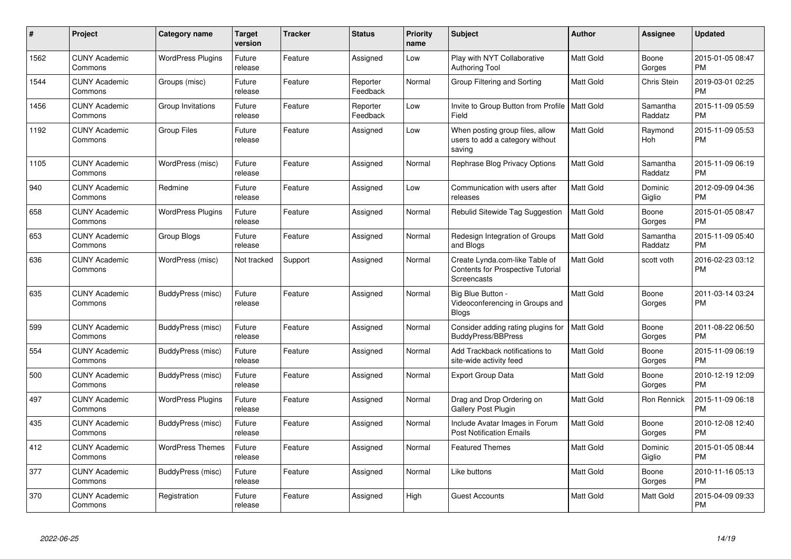| #    | Project                         | <b>Category name</b>     | Target<br>version | <b>Tracker</b> | <b>Status</b>        | <b>Priority</b><br>name | <b>Subject</b>                                                                     | <b>Author</b>    | <b>Assignee</b>     | <b>Updated</b>                |
|------|---------------------------------|--------------------------|-------------------|----------------|----------------------|-------------------------|------------------------------------------------------------------------------------|------------------|---------------------|-------------------------------|
| 1562 | <b>CUNY Academic</b><br>Commons | <b>WordPress Plugins</b> | Future<br>release | Feature        | Assigned             | Low                     | Play with NYT Collaborative<br><b>Authoring Tool</b>                               | <b>Matt Gold</b> | Boone<br>Gorges     | 2015-01-05 08:47<br><b>PM</b> |
| 1544 | <b>CUNY Academic</b><br>Commons | Groups (misc)            | Future<br>release | Feature        | Reporter<br>Feedback | Normal                  | Group Filtering and Sorting                                                        | Matt Gold        | Chris Stein         | 2019-03-01 02:25<br><b>PM</b> |
| 1456 | <b>CUNY Academic</b><br>Commons | Group Invitations        | Future<br>release | Feature        | Reporter<br>Feedback | Low                     | Invite to Group Button from Profile<br>Field                                       | Matt Gold        | Samantha<br>Raddatz | 2015-11-09 05:59<br><b>PM</b> |
| 1192 | <b>CUNY Academic</b><br>Commons | <b>Group Files</b>       | Future<br>release | Feature        | Assigned             | Low                     | When posting group files, allow<br>users to add a category without<br>saving       | Matt Gold        | Raymond<br>Hoh      | 2015-11-09 05:53<br><b>PM</b> |
| 1105 | <b>CUNY Academic</b><br>Commons | WordPress (misc)         | Future<br>release | Feature        | Assigned             | Normal                  | Rephrase Blog Privacy Options                                                      | <b>Matt Gold</b> | Samantha<br>Raddatz | 2015-11-09 06:19<br><b>PM</b> |
| 940  | <b>CUNY Academic</b><br>Commons | Redmine                  | Future<br>release | Feature        | Assigned             | Low                     | Communication with users after<br>releases                                         | <b>Matt Gold</b> | Dominic<br>Giglio   | 2012-09-09 04:36<br><b>PM</b> |
| 658  | <b>CUNY Academic</b><br>Commons | <b>WordPress Plugins</b> | Future<br>release | Feature        | Assigned             | Normal                  | Rebulid Sitewide Tag Suggestion                                                    | <b>Matt Gold</b> | Boone<br>Gorges     | 2015-01-05 08:47<br><b>PM</b> |
| 653  | <b>CUNY Academic</b><br>Commons | Group Blogs              | Future<br>release | Feature        | Assigned             | Normal                  | Redesign Integration of Groups<br>and Blogs                                        | Matt Gold        | Samantha<br>Raddatz | 2015-11-09 05:40<br><b>PM</b> |
| 636  | <b>CUNY Academic</b><br>Commons | WordPress (misc)         | Not tracked       | Support        | Assigned             | Normal                  | Create Lynda.com-like Table of<br>Contents for Prospective Tutorial<br>Screencasts | <b>Matt Gold</b> | scott voth          | 2016-02-23 03:12<br><b>PM</b> |
| 635  | <b>CUNY Academic</b><br>Commons | BuddyPress (misc)        | Future<br>release | Feature        | Assigned             | Normal                  | Big Blue Button -<br>Videoconferencing in Groups and<br><b>Blogs</b>               | <b>Matt Gold</b> | Boone<br>Gorges     | 2011-03-14 03:24<br><b>PM</b> |
| 599  | <b>CUNY Academic</b><br>Commons | BuddyPress (misc)        | Future<br>release | Feature        | Assigned             | Normal                  | Consider adding rating plugins for<br><b>BuddyPress/BBPress</b>                    | <b>Matt Gold</b> | Boone<br>Gorges     | 2011-08-22 06:50<br><b>PM</b> |
| 554  | <b>CUNY Academic</b><br>Commons | BuddyPress (misc)        | Future<br>release | Feature        | Assigned             | Normal                  | Add Trackback notifications to<br>site-wide activity feed                          | Matt Gold        | Boone<br>Gorges     | 2015-11-09 06:19<br><b>PM</b> |
| 500  | <b>CUNY Academic</b><br>Commons | BuddyPress (misc)        | Future<br>release | Feature        | Assigned             | Normal                  | <b>Export Group Data</b>                                                           | <b>Matt Gold</b> | Boone<br>Gorges     | 2010-12-19 12:09<br><b>PM</b> |
| 497  | <b>CUNY Academic</b><br>Commons | <b>WordPress Plugins</b> | Future<br>release | Feature        | Assigned             | Normal                  | Drag and Drop Ordering on<br>Gallery Post Plugin                                   | Matt Gold        | Ron Rennick         | 2015-11-09 06:18<br><b>PM</b> |
| 435  | <b>CUNY Academic</b><br>Commons | BuddyPress (misc)        | Future<br>release | Feature        | Assigned             | Normal                  | Include Avatar Images in Forum<br><b>Post Notification Emails</b>                  | Matt Gold        | Boone<br>Gorges     | 2010-12-08 12:40<br><b>PM</b> |
| 412  | <b>CUNY Academic</b><br>Commons | <b>WordPress Themes</b>  | Future<br>release | Feature        | Assigned             | Normal                  | <b>Featured Themes</b>                                                             | Matt Gold        | Dominic<br>Giglio   | 2015-01-05 08:44<br><b>PM</b> |
| 377  | <b>CUNY Academic</b><br>Commons | BuddyPress (misc)        | Future<br>release | Feature        | Assigned             | Normal                  | Like buttons                                                                       | Matt Gold        | Boone<br>Gorges     | 2010-11-16 05:13<br><b>PM</b> |
| 370  | <b>CUNY Academic</b><br>Commons | Registration             | Future<br>release | Feature        | Assigned             | High                    | <b>Guest Accounts</b>                                                              | Matt Gold        | Matt Gold           | 2015-04-09 09:33<br><b>PM</b> |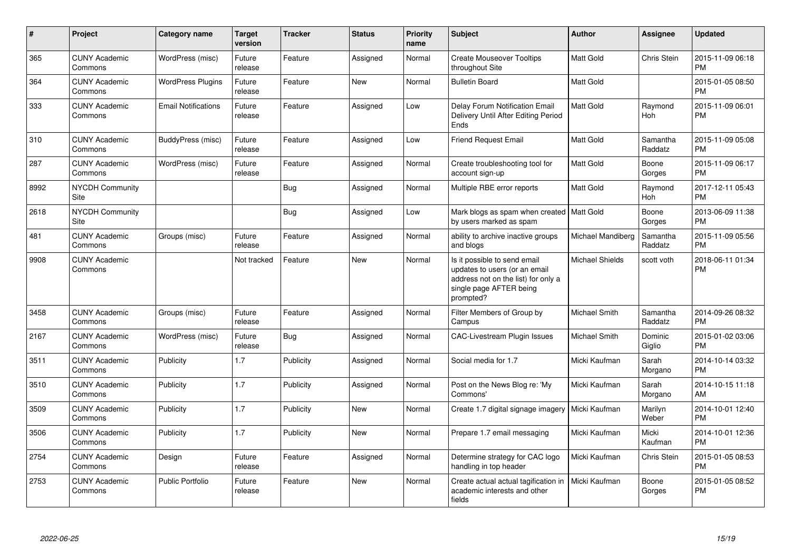| #    | <b>Project</b>                  | Category name              | <b>Target</b><br>version | <b>Tracker</b> | <b>Status</b> | <b>Priority</b><br>name | <b>Subject</b>                                                                                                                               | <b>Author</b>          | Assignee            | <b>Updated</b>                |
|------|---------------------------------|----------------------------|--------------------------|----------------|---------------|-------------------------|----------------------------------------------------------------------------------------------------------------------------------------------|------------------------|---------------------|-------------------------------|
| 365  | <b>CUNY Academic</b><br>Commons | WordPress (misc)           | Future<br>release        | Feature        | Assigned      | Normal                  | <b>Create Mouseover Tooltips</b><br>throughout Site                                                                                          | Matt Gold              | Chris Stein         | 2015-11-09 06:18<br><b>PM</b> |
| 364  | <b>CUNY Academic</b><br>Commons | <b>WordPress Plugins</b>   | Future<br>release        | Feature        | New           | Normal                  | <b>Bulletin Board</b>                                                                                                                        | <b>Matt Gold</b>       |                     | 2015-01-05 08:50<br><b>PM</b> |
| 333  | <b>CUNY Academic</b><br>Commons | <b>Email Notifications</b> | Future<br>release        | Feature        | Assigned      | Low                     | Delay Forum Notification Email<br>Delivery Until After Editing Period<br>Ends                                                                | Matt Gold              | Raymond<br>Hoh      | 2015-11-09 06:01<br>PM        |
| 310  | <b>CUNY Academic</b><br>Commons | BuddyPress (misc)          | Future<br>release        | Feature        | Assigned      | Low                     | <b>Friend Request Email</b>                                                                                                                  | <b>Matt Gold</b>       | Samantha<br>Raddatz | 2015-11-09 05:08<br><b>PM</b> |
| 287  | <b>CUNY Academic</b><br>Commons | WordPress (misc)           | Future<br>release        | Feature        | Assigned      | Normal                  | Create troubleshooting tool for<br>account sign-up                                                                                           | Matt Gold              | Boone<br>Gorges     | 2015-11-09 06:17<br><b>PM</b> |
| 8992 | <b>NYCDH Community</b><br>Site  |                            |                          | <b>Bug</b>     | Assigned      | Normal                  | Multiple RBE error reports                                                                                                                   | Matt Gold              | Raymond<br>Hoh      | 2017-12-11 05:43<br><b>PM</b> |
| 2618 | <b>NYCDH Community</b><br>Site  |                            |                          | <b>Bug</b>     | Assigned      | Low                     | Mark blogs as spam when created   Matt Gold<br>by users marked as spam                                                                       |                        | Boone<br>Gorges     | 2013-06-09 11:38<br><b>PM</b> |
| 481  | <b>CUNY Academic</b><br>Commons | Groups (misc)              | Future<br>release        | Feature        | Assigned      | Normal                  | ability to archive inactive groups<br>and blogs                                                                                              | Michael Mandiberg      | Samantha<br>Raddatz | 2015-11-09 05:56<br><b>PM</b> |
| 9908 | <b>CUNY Academic</b><br>Commons |                            | Not tracked              | Feature        | <b>New</b>    | Normal                  | Is it possible to send email<br>updates to users (or an email<br>address not on the list) for only a<br>single page AFTER being<br>prompted? | <b>Michael Shields</b> | scott voth          | 2018-06-11 01:34<br><b>PM</b> |
| 3458 | <b>CUNY Academic</b><br>Commons | Groups (misc)              | Future<br>release        | Feature        | Assigned      | Normal                  | Filter Members of Group by<br>Campus                                                                                                         | Michael Smith          | Samantha<br>Raddatz | 2014-09-26 08:32<br><b>PM</b> |
| 2167 | <b>CUNY Academic</b><br>Commons | WordPress (misc)           | Future<br>release        | <b>Bug</b>     | Assigned      | Normal                  | <b>CAC-Livestream Plugin Issues</b>                                                                                                          | Michael Smith          | Dominic<br>Giglio   | 2015-01-02 03:06<br><b>PM</b> |
| 3511 | <b>CUNY Academic</b><br>Commons | Publicity                  | 1.7                      | Publicity      | Assigned      | Normal                  | Social media for 1.7                                                                                                                         | Micki Kaufman          | Sarah<br>Morgano    | 2014-10-14 03:32<br><b>PM</b> |
| 3510 | <b>CUNY Academic</b><br>Commons | Publicity                  | 1.7                      | Publicity      | Assigned      | Normal                  | Post on the News Blog re: 'My<br>Commons'                                                                                                    | Micki Kaufman          | Sarah<br>Morgano    | 2014-10-15 11:18<br>AM        |
| 3509 | <b>CUNY Academic</b><br>Commons | Publicity                  | 1.7                      | Publicity      | <b>New</b>    | Normal                  | Create 1.7 digital signage imagery                                                                                                           | Micki Kaufman          | Marilyn<br>Weber    | 2014-10-01 12:40<br><b>PM</b> |
| 3506 | <b>CUNY Academic</b><br>Commons | Publicity                  | 1.7                      | Publicity      | New           | Normal                  | Prepare 1.7 email messaging                                                                                                                  | Micki Kaufman          | Micki<br>Kaufman    | 2014-10-01 12:36<br><b>PM</b> |
| 2754 | <b>CUNY Academic</b><br>Commons | Design                     | Future<br>release        | Feature        | Assigned      | Normal                  | Determine strategy for CAC logo<br>handling in top header                                                                                    | Micki Kaufman          | Chris Stein         | 2015-01-05 08:53<br><b>PM</b> |
| 2753 | <b>CUNY Academic</b><br>Commons | <b>Public Portfolio</b>    | Future<br>release        | Feature        | New           | Normal                  | Create actual actual tagification in<br>academic interests and other<br>fields                                                               | Micki Kaufman          | Boone<br>Gorges     | 2015-01-05 08:52<br><b>PM</b> |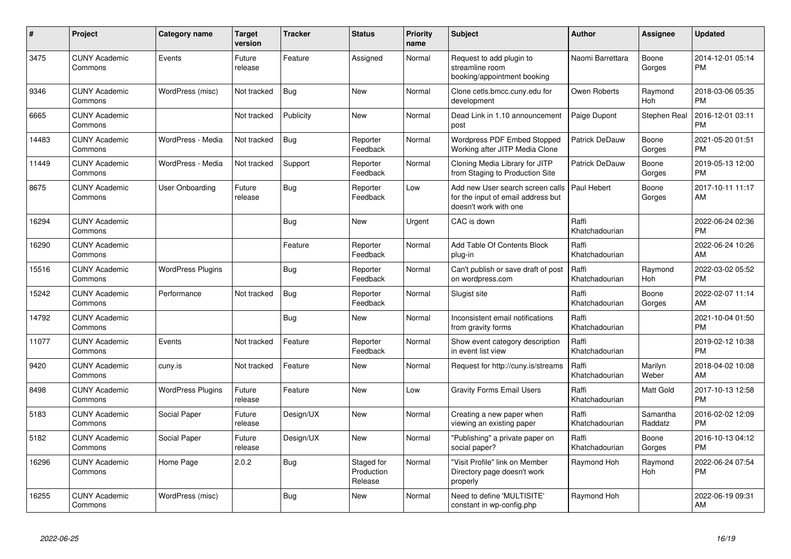| #     | Project                         | <b>Category name</b>     | Target<br>version | Tracker    | <b>Status</b>                       | <b>Priority</b><br>name | <b>Subject</b>                                                                                  | <b>Author</b>           | <b>Assignee</b>       | <b>Updated</b>                |
|-------|---------------------------------|--------------------------|-------------------|------------|-------------------------------------|-------------------------|-------------------------------------------------------------------------------------------------|-------------------------|-----------------------|-------------------------------|
| 3475  | <b>CUNY Academic</b><br>Commons | Events                   | Future<br>release | Feature    | Assigned                            | Normal                  | Request to add plugin to<br>streamline room<br>booking/appointment booking                      | Naomi Barrettara        | Boone<br>Gorges       | 2014-12-01 05:14<br><b>PM</b> |
| 9346  | <b>CUNY Academic</b><br>Commons | WordPress (misc)         | Not tracked       | Bug        | New                                 | Normal                  | Clone cetls.bmcc.cuny.edu for<br>development                                                    | Owen Roberts            | Raymond<br><b>Hoh</b> | 2018-03-06 05:35<br><b>PM</b> |
| 6665  | <b>CUNY Academic</b><br>Commons |                          | Not tracked       | Publicity  | <b>New</b>                          | Normal                  | Dead Link in 1.10 announcement<br>post                                                          | Paige Dupont            | Stephen Real          | 2016-12-01 03:11<br>PM        |
| 14483 | <b>CUNY Academic</b><br>Commons | WordPress - Media        | Not tracked       | Bug        | Reporter<br>Feedback                | Normal                  | <b>Wordpress PDF Embed Stopped</b><br>Working after JITP Media Clone                            | Patrick DeDauw          | Boone<br>Gorges       | 2021-05-20 01:51<br><b>PM</b> |
| 11449 | <b>CUNY Academic</b><br>Commons | WordPress - Media        | Not tracked       | Support    | Reporter<br>Feedback                | Normal                  | Cloning Media Library for JITP<br>from Staging to Production Site                               | Patrick DeDauw          | Boone<br>Gorges       | 2019-05-13 12:00<br><b>PM</b> |
| 8675  | <b>CUNY Academic</b><br>Commons | <b>User Onboarding</b>   | Future<br>release | <b>Bug</b> | Reporter<br>Feedback                | Low                     | Add new User search screen calls<br>for the input of email address but<br>doesn't work with one | Paul Hebert             | Boone<br>Gorges       | 2017-10-11 11:17<br>AM        |
| 16294 | <b>CUNY Academic</b><br>Commons |                          |                   | <b>Bug</b> | <b>New</b>                          | Urgent                  | CAC is down                                                                                     | Raffi<br>Khatchadourian |                       | 2022-06-24 02:36<br><b>PM</b> |
| 16290 | <b>CUNY Academic</b><br>Commons |                          |                   | Feature    | Reporter<br>Feedback                | Normal                  | Add Table Of Contents Block<br>plug-in                                                          | Raffi<br>Khatchadourian |                       | 2022-06-24 10:26<br>AM        |
| 15516 | <b>CUNY Academic</b><br>Commons | <b>WordPress Plugins</b> |                   | Bug        | Reporter<br>Feedback                | Normal                  | Can't publish or save draft of post<br>on wordpress.com                                         | Raffi<br>Khatchadourian | Raymond<br><b>Hoh</b> | 2022-03-02 05:52<br><b>PM</b> |
| 15242 | <b>CUNY Academic</b><br>Commons | Performance              | Not tracked       | Bug        | Reporter<br>Feedback                | Normal                  | Slugist site                                                                                    | Raffi<br>Khatchadourian | Boone<br>Gorges       | 2022-02-07 11:14<br>AM        |
| 14792 | <b>CUNY Academic</b><br>Commons |                          |                   | Bug        | <b>New</b>                          | Normal                  | Inconsistent email notifications<br>from gravity forms                                          | Raffi<br>Khatchadourian |                       | 2021-10-04 01:50<br><b>PM</b> |
| 11077 | <b>CUNY Academic</b><br>Commons | Events                   | Not tracked       | Feature    | Reporter<br>Feedback                | Normal                  | Show event category description<br>in event list view                                           | Raffi<br>Khatchadourian |                       | 2019-02-12 10:38<br>PM        |
| 9420  | <b>CUNY Academic</b><br>Commons | cuny.is                  | Not tracked       | Feature    | <b>New</b>                          | Normal                  | Request for http://cuny.is/streams                                                              | Raffi<br>Khatchadourian | Marilyn<br>Weber      | 2018-04-02 10:08<br>AM        |
| 8498  | <b>CUNY Academic</b><br>Commons | <b>WordPress Plugins</b> | Future<br>release | Feature    | <b>New</b>                          | Low                     | <b>Gravity Forms Email Users</b>                                                                | Raffi<br>Khatchadourian | Matt Gold             | 2017-10-13 12:58<br><b>PM</b> |
| 5183  | <b>CUNY Academic</b><br>Commons | Social Paper             | Future<br>release | Design/UX  | <b>New</b>                          | Normal                  | Creating a new paper when<br>viewing an existing paper                                          | Raffi<br>Khatchadourian | Samantha<br>Raddatz   | 2016-02-02 12:09<br><b>PM</b> |
| 5182  | <b>CUNY Academic</b><br>Commons | Social Paper             | Future<br>release | Design/UX  | <b>New</b>                          | Normal                  | "Publishing" a private paper on<br>social paper?                                                | Raffi<br>Khatchadourian | Boone<br>Gorges       | 2016-10-13 04:12<br><b>PM</b> |
| 16296 | <b>CUNY Academic</b><br>Commons | Home Page                | 2.0.2             | <b>Bug</b> | Staged for<br>Production<br>Release | Normal                  | "Visit Profile" link on Member<br>Directory page doesn't work<br>properly                       | Raymond Hoh             | Raymond<br>Hoh        | 2022-06-24 07:54<br><b>PM</b> |
| 16255 | <b>CUNY Academic</b><br>Commons | WordPress (misc)         |                   | Bug        | <b>New</b>                          | Normal                  | Need to define 'MULTISITE'<br>constant in wp-config.php                                         | Raymond Hoh             |                       | 2022-06-19 09:31<br>AM        |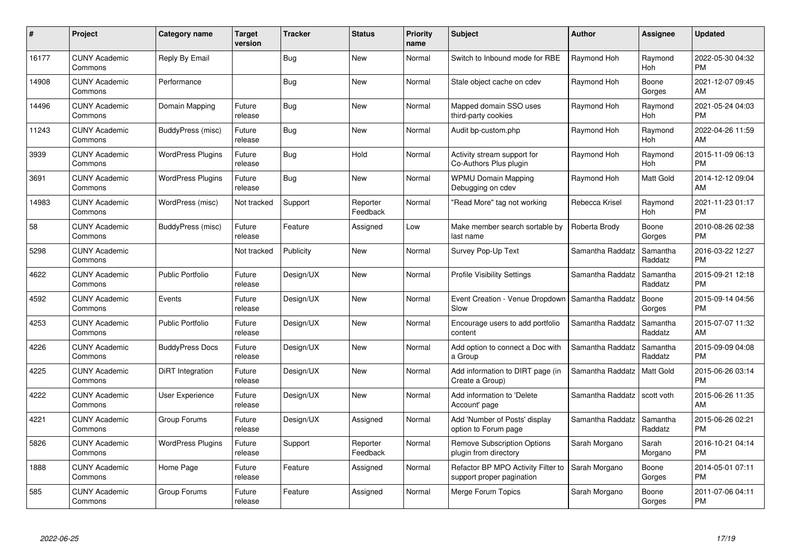| #     | Project                         | <b>Category name</b>     | Target<br>version | <b>Tracker</b> | <b>Status</b>        | <b>Priority</b><br>name | <b>Subject</b>                                                  | <b>Author</b>    | <b>Assignee</b>     | <b>Updated</b>                |
|-------|---------------------------------|--------------------------|-------------------|----------------|----------------------|-------------------------|-----------------------------------------------------------------|------------------|---------------------|-------------------------------|
| 16177 | <b>CUNY Academic</b><br>Commons | Reply By Email           |                   | Bug            | <b>New</b>           | Normal                  | Switch to Inbound mode for RBE                                  | Raymond Hoh      | Raymond<br>Hoh      | 2022-05-30 04:32<br><b>PM</b> |
| 14908 | <b>CUNY Academic</b><br>Commons | Performance              |                   | Bug            | <b>New</b>           | Normal                  | Stale object cache on cdev                                      | Raymond Hoh      | Boone<br>Gorges     | 2021-12-07 09:45<br>AM        |
| 14496 | <b>CUNY Academic</b><br>Commons | Domain Mapping           | Future<br>release | <b>Bug</b>     | <b>New</b>           | Normal                  | Mapped domain SSO uses<br>third-party cookies                   | Raymond Hoh      | Raymond<br>Hoh      | 2021-05-24 04:03<br><b>PM</b> |
| 11243 | <b>CUNY Academic</b><br>Commons | BuddyPress (misc)        | Future<br>release | Bug            | <b>New</b>           | Normal                  | Audit bp-custom.php                                             | Raymond Hoh      | Raymond<br>Hoh      | 2022-04-26 11:59<br>AM        |
| 3939  | <b>CUNY Academic</b><br>Commons | <b>WordPress Plugins</b> | Future<br>release | Bug            | Hold                 | Normal                  | Activity stream support for<br>Co-Authors Plus plugin           | Raymond Hoh      | Raymond<br>Hoh      | 2015-11-09 06:13<br><b>PM</b> |
| 3691  | <b>CUNY Academic</b><br>Commons | <b>WordPress Plugins</b> | Future<br>release | Bug            | <b>New</b>           | Normal                  | <b>WPMU Domain Mapping</b><br>Debugging on cdev                 | Raymond Hoh      | Matt Gold           | 2014-12-12 09:04<br>AM        |
| 14983 | <b>CUNY Academic</b><br>Commons | WordPress (misc)         | Not tracked       | Support        | Reporter<br>Feedback | Normal                  | 'Read More" tag not working                                     | Rebecca Krisel   | Raymond<br>Hoh      | 2021-11-23 01:17<br><b>PM</b> |
| 58    | <b>CUNY Academic</b><br>Commons | BuddyPress (misc)        | Future<br>release | Feature        | Assigned             | Low                     | Make member search sortable by<br>last name                     | Roberta Brody    | Boone<br>Gorges     | 2010-08-26 02:38<br><b>PM</b> |
| 5298  | <b>CUNY Academic</b><br>Commons |                          | Not tracked       | Publicity      | New                  | Normal                  | Survey Pop-Up Text                                              | Samantha Raddatz | Samantha<br>Raddatz | 2016-03-22 12:27<br><b>PM</b> |
| 4622  | <b>CUNY Academic</b><br>Commons | <b>Public Portfolio</b>  | Future<br>release | Design/UX      | <b>New</b>           | Normal                  | <b>Profile Visibility Settings</b>                              | Samantha Raddatz | Samantha<br>Raddatz | 2015-09-21 12:18<br><b>PM</b> |
| 4592  | <b>CUNY Academic</b><br>Commons | Events                   | Future<br>release | Design/UX      | <b>New</b>           | Normal                  | Event Creation - Venue Dropdown<br>Slow                         | Samantha Raddatz | Boone<br>Gorges     | 2015-09-14 04:56<br><b>PM</b> |
| 4253  | <b>CUNY Academic</b><br>Commons | Public Portfolio         | Future<br>release | Design/UX      | <b>New</b>           | Normal                  | Encourage users to add portfolio<br>content                     | Samantha Raddatz | Samantha<br>Raddatz | 2015-07-07 11:32<br>AM        |
| 4226  | <b>CUNY Academic</b><br>Commons | <b>BuddyPress Docs</b>   | Future<br>release | Design/UX      | <b>New</b>           | Normal                  | Add option to connect a Doc with<br>a Group                     | Samantha Raddatz | Samantha<br>Raddatz | 2015-09-09 04:08<br><b>PM</b> |
| 4225  | <b>CUNY Academic</b><br>Commons | DiRT Integration         | Future<br>release | Design/UX      | <b>New</b>           | Normal                  | Add information to DIRT page (in<br>Create a Group)             | Samantha Raddatz | Matt Gold           | 2015-06-26 03:14<br><b>PM</b> |
| 4222  | <b>CUNY Academic</b><br>Commons | <b>User Experience</b>   | Future<br>release | Design/UX      | <b>New</b>           | Normal                  | Add information to 'Delete<br>Account' page                     | Samantha Raddatz | scott voth          | 2015-06-26 11:35<br>AM        |
| 4221  | <b>CUNY Academic</b><br>Commons | Group Forums             | Future<br>release | Design/UX      | Assigned             | Normal                  | Add 'Number of Posts' display<br>option to Forum page           | Samantha Raddatz | Samantha<br>Raddatz | 2015-06-26 02:21<br><b>PM</b> |
| 5826  | <b>CUNY Academic</b><br>Commons | <b>WordPress Plugins</b> | Future<br>release | Support        | Reporter<br>Feedback | Normal                  | <b>Remove Subscription Options</b><br>plugin from directory     | Sarah Morgano    | Sarah<br>Morgano    | 2016-10-21 04:14<br><b>PM</b> |
| 1888  | <b>CUNY Academic</b><br>Commons | Home Page                | Future<br>release | Feature        | Assigned             | Normal                  | Refactor BP MPO Activity Filter to<br>support proper pagination | Sarah Morgano    | Boone<br>Gorges     | 2014-05-01 07:11<br><b>PM</b> |
| 585   | <b>CUNY Academic</b><br>Commons | Group Forums             | Future<br>release | Feature        | Assigned             | Normal                  | Merge Forum Topics                                              | Sarah Morgano    | Boone<br>Gorges     | 2011-07-06 04:11<br><b>PM</b> |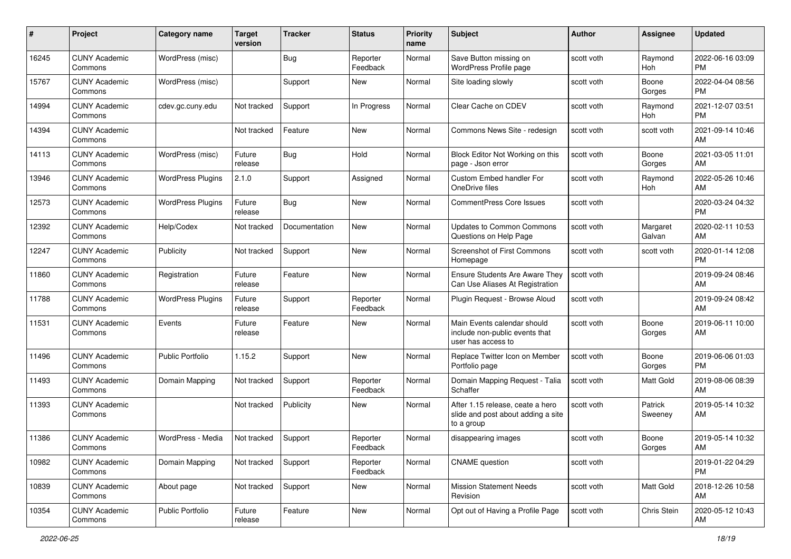| #     | Project                         | <b>Category name</b>     | <b>Target</b><br>version | <b>Tracker</b> | <b>Status</b>        | <b>Priority</b><br>name | <b>Subject</b>                                                                       | <b>Author</b> | <b>Assignee</b>    | <b>Updated</b>                |
|-------|---------------------------------|--------------------------|--------------------------|----------------|----------------------|-------------------------|--------------------------------------------------------------------------------------|---------------|--------------------|-------------------------------|
| 16245 | <b>CUNY Academic</b><br>Commons | WordPress (misc)         |                          | <b>Bug</b>     | Reporter<br>Feedback | Normal                  | Save Button missing on<br>WordPress Profile page                                     | scott voth    | Raymond<br>Hoh     | 2022-06-16 03:09<br><b>PM</b> |
| 15767 | <b>CUNY Academic</b><br>Commons | WordPress (misc)         |                          | Support        | New                  | Normal                  | Site loading slowly                                                                  | scott voth    | Boone<br>Gorges    | 2022-04-04 08:56<br><b>PM</b> |
| 14994 | <b>CUNY Academic</b><br>Commons | cdev.gc.cuny.edu         | Not tracked              | Support        | In Progress          | Normal                  | Clear Cache on CDEV                                                                  | scott voth    | Raymond<br>Hoh     | 2021-12-07 03:51<br><b>PM</b> |
| 14394 | <b>CUNY Academic</b><br>Commons |                          | Not tracked              | Feature        | New                  | Normal                  | Commons News Site - redesign                                                         | scott voth    | scott voth         | 2021-09-14 10:46<br>AM        |
| 14113 | <b>CUNY Academic</b><br>Commons | WordPress (misc)         | Future<br>release        | Bug            | Hold                 | Normal                  | Block Editor Not Working on this<br>page - Json error                                | scott voth    | Boone<br>Gorges    | 2021-03-05 11:01<br>AM        |
| 13946 | <b>CUNY Academic</b><br>Commons | <b>WordPress Plugins</b> | 2.1.0                    | Support        | Assigned             | Normal                  | <b>Custom Embed handler For</b><br>OneDrive files                                    | scott voth    | Raymond<br>Hoh     | 2022-05-26 10:46<br>AM        |
| 12573 | <b>CUNY Academic</b><br>Commons | <b>WordPress Plugins</b> | Future<br>release        | Bug            | New                  | Normal                  | <b>CommentPress Core Issues</b>                                                      | scott voth    |                    | 2020-03-24 04:32<br><b>PM</b> |
| 12392 | <b>CUNY Academic</b><br>Commons | Help/Codex               | Not tracked              | Documentation  | <b>New</b>           | Normal                  | <b>Updates to Common Commons</b><br>Questions on Help Page                           | scott voth    | Margaret<br>Galvan | 2020-02-11 10:53<br>AM        |
| 12247 | <b>CUNY Academic</b><br>Commons | Publicity                | Not tracked              | Support        | <b>New</b>           | Normal                  | <b>Screenshot of First Commons</b><br>Homepage                                       | scott voth    | scott voth         | 2020-01-14 12:08<br><b>PM</b> |
| 11860 | <b>CUNY Academic</b><br>Commons | Registration             | Future<br>release        | Feature        | <b>New</b>           | Normal                  | <b>Ensure Students Are Aware They</b><br>Can Use Aliases At Registration             | scott voth    |                    | 2019-09-24 08:46<br>AM        |
| 11788 | <b>CUNY Academic</b><br>Commons | <b>WordPress Plugins</b> | Future<br>release        | Support        | Reporter<br>Feedback | Normal                  | Plugin Reguest - Browse Aloud                                                        | scott voth    |                    | 2019-09-24 08:42<br>AM        |
| 11531 | <b>CUNY Academic</b><br>Commons | Events                   | Future<br>release        | Feature        | <b>New</b>           | Normal                  | Main Events calendar should<br>include non-public events that<br>user has access to  | scott voth    | Boone<br>Gorges    | 2019-06-11 10:00<br>AM        |
| 11496 | <b>CUNY Academic</b><br>Commons | <b>Public Portfolio</b>  | 1.15.2                   | Support        | <b>New</b>           | Normal                  | Replace Twitter Icon on Member<br>Portfolio page                                     | scott voth    | Boone<br>Gorges    | 2019-06-06 01:03<br><b>PM</b> |
| 11493 | <b>CUNY Academic</b><br>Commons | Domain Mapping           | Not tracked              | Support        | Reporter<br>Feedback | Normal                  | Domain Mapping Request - Talia<br>Schaffer                                           | scott voth    | Matt Gold          | 2019-08-06 08:39<br>AM        |
| 11393 | <b>CUNY Academic</b><br>Commons |                          | Not tracked              | Publicity      | New                  | Normal                  | After 1.15 release, ceate a hero<br>slide and post about adding a site<br>to a group | scott voth    | Patrick<br>Sweeney | 2019-05-14 10:32<br>AM        |
| 11386 | <b>CUNY Academic</b><br>Commons | WordPress - Media        | Not tracked              | Support        | Reporter<br>Feedback | Normal                  | disappearing images                                                                  | scott voth    | Boone<br>Gorges    | 2019-05-14 10:32<br>AM        |
| 10982 | <b>CUNY Academic</b><br>Commons | Domain Mapping           | Not tracked              | Support        | Reporter<br>Feedback | Normal                  | <b>CNAME</b> question                                                                | scott voth    |                    | 2019-01-22 04:29<br><b>PM</b> |
| 10839 | <b>CUNY Academic</b><br>Commons | About page               | Not tracked              | Support        | New                  | Normal                  | <b>Mission Statement Needs</b><br>Revision                                           | scott voth    | <b>Matt Gold</b>   | 2018-12-26 10:58<br>AM        |
| 10354 | <b>CUNY Academic</b><br>Commons | Public Portfolio         | Future<br>release        | Feature        | New                  | Normal                  | Opt out of Having a Profile Page                                                     | scott voth    | Chris Stein        | 2020-05-12 10:43<br>AM        |